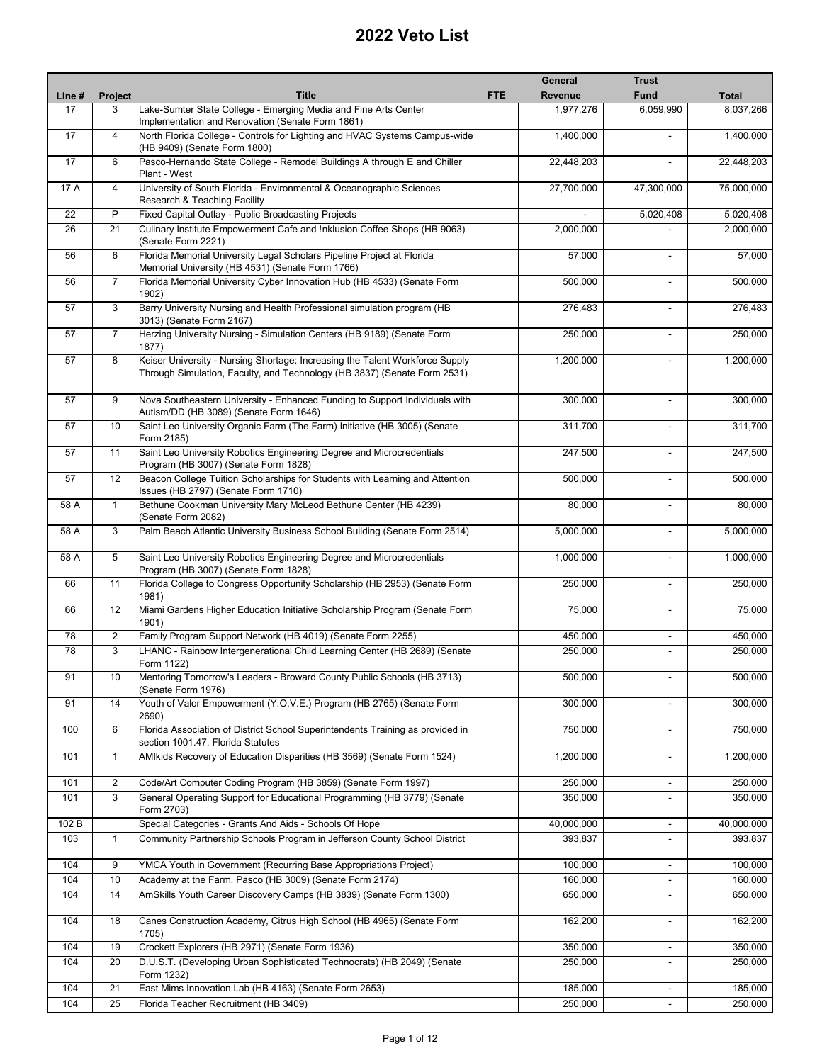|        |                 |                                                                                                                                                          | General               | <b>Trust</b>             |              |
|--------|-----------------|----------------------------------------------------------------------------------------------------------------------------------------------------------|-----------------------|--------------------------|--------------|
| Line # | Project         | <b>Title</b>                                                                                                                                             | Revenue<br><b>FTE</b> | <b>Fund</b>              | <b>Total</b> |
| 17     | 3               | Lake-Sumter State College - Emerging Media and Fine Arts Center                                                                                          | 1,977,276             | 6,059,990                | 8,037,266    |
| 17     | $\overline{4}$  | Implementation and Renovation (Senate Form 1861)<br>North Florida College - Controls for Lighting and HVAC Systems Campus-wide                           | 1,400,000             |                          | 1,400,000    |
|        |                 | (HB 9409) (Senate Form 1800)                                                                                                                             |                       |                          |              |
| 17     | 6               | Pasco-Hernando State College - Remodel Buildings A through E and Chiller<br>Plant - West                                                                 | 22,448,203            | $\blacksquare$           | 22,448,203   |
| 17 A   | $\overline{4}$  | University of South Florida - Environmental & Oceanographic Sciences<br>Research & Teaching Facility                                                     | 27,700,000            | 47,300,000               | 75,000,000   |
| 22     | P               | Fixed Capital Outlay - Public Broadcasting Projects                                                                                                      |                       | 5,020,408                | 5,020,408    |
| 26     | 21              | Culinary Institute Empowerment Cafe and Inklusion Coffee Shops (HB 9063)<br>(Senate Form 2221)                                                           | 2,000,000             |                          | 2,000,000    |
| 56     | 6               | Florida Memorial University Legal Scholars Pipeline Project at Florida<br>Memorial University (HB 4531) (Senate Form 1766)                               | 57,000                |                          | 57,000       |
| 56     | $\overline{7}$  | Florida Memorial University Cyber Innovation Hub (HB 4533) (Senate Form<br>1902)                                                                         | 500,000               | $\blacksquare$           | 500,000      |
| 57     | 3               | Barry University Nursing and Health Professional simulation program (HB<br>3013) (Senate Form 2167)                                                      | 276,483               | $\blacksquare$           | 276,483      |
| 57     | $\overline{7}$  | Herzing University Nursing - Simulation Centers (HB 9189) (Senate Form<br>1877)                                                                          | 250,000               | $\blacksquare$           | 250,000      |
| 57     | 8               | Keiser University - Nursing Shortage: Increasing the Talent Workforce Supply<br>Through Simulation, Faculty, and Technology (HB 3837) (Senate Form 2531) | 1,200,000             |                          | 1,200,000    |
| 57     | 9               | Nova Southeastern University - Enhanced Funding to Support Individuals with<br>Autism/DD (HB 3089) (Senate Form 1646)                                    | 300,000               | $\blacksquare$           | 300,000      |
| 57     | 10              | Saint Leo University Organic Farm (The Farm) Initiative (HB 3005) (Senate<br>Form 2185)                                                                  | 311,700               |                          | 311,700      |
| 57     | 11              | Saint Leo University Robotics Engineering Degree and Microcredentials<br>Program (HB 3007) (Senate Form 1828)                                            | 247,500               | $\blacksquare$           | 247,500      |
| 57     | 12              | Beacon College Tuition Scholarships for Students with Learning and Attention<br>Issues (HB 2797) (Senate Form 1710)                                      | 500,000               | $\blacksquare$           | 500,000      |
| 58 A   | $\mathbf{1}$    | Bethune Cookman University Mary McLeod Bethune Center (HB 4239)<br>(Senate Form 2082)                                                                    | 80,000                | $\blacksquare$           | 80,000       |
| 58 A   | 3               | Palm Beach Atlantic University Business School Building (Senate Form 2514)                                                                               | 5,000,000             | $\blacksquare$           | 5,000,000    |
| 58 A   | 5               | Saint Leo University Robotics Engineering Degree and Microcredentials<br>Program (HB 3007) (Senate Form 1828)                                            | 1,000,000             | $\overline{a}$           | 1,000,000    |
| 66     | $\overline{11}$ | Florida College to Congress Opportunity Scholarship (HB 2953) (Senate Form<br>1981)                                                                      | 250,000               | $\blacksquare$           | 250,000      |
| 66     | 12              | Miami Gardens Higher Education Initiative Scholarship Program (Senate Form<br>1901)                                                                      | 75,000                |                          | 75,000       |
| 78     | $\overline{2}$  | Family Program Support Network (HB 4019) (Senate Form 2255)                                                                                              | 450,000               | $\blacksquare$           | 450,000      |
| 78     | 3               | LHANC - Rainbow Intergenerational Child Learning Center (HB 2689) (Senate<br>Form 1122)                                                                  | 250.000               |                          | 250,000      |
| 91     | 10              | Mentoring Tomorrow's Leaders - Broward County Public Schools (HB 3713)<br>(Senate Form 1976)                                                             | 500,000               |                          | 500,000      |
| 91     | 14              | Youth of Valor Empowerment (Y.O.V.E.) Program (HB 2765) (Senate Form<br>2690)                                                                            | 300,000               |                          | 300,000      |
| 100    | 6               | Florida Association of District School Superintendents Training as provided in<br>section 1001.47, Florida Statutes                                      | 750,000               |                          | 750,000      |
| 101    | $\mathbf{1}$    | AMIkids Recovery of Education Disparities (HB 3569) (Senate Form 1524)                                                                                   | 1,200,000             |                          | 1,200,000    |
| 101    | $\overline{2}$  | Code/Art Computer Coding Program (HB 3859) (Senate Form 1997)                                                                                            | 250,000               | ٠                        | 250,000      |
| 101    | $\mathbf{3}$    | General Operating Support for Educational Programming (HB 3779) (Senate<br>Form 2703)                                                                    | 350,000               | $\blacksquare$           | 350,000      |
| 102 B  |                 | Special Categories - Grants And Aids - Schools Of Hope                                                                                                   | 40,000,000            | $\overline{\phantom{a}}$ | 40,000,000   |
| 103    | $\mathbf{1}$    | Community Partnership Schools Program in Jefferson County School District                                                                                | 393,837               |                          | 393,837      |
| 104    | 9               | YMCA Youth in Government (Recurring Base Appropriations Project)                                                                                         | 100,000               | $\overline{\phantom{a}}$ | 100,000      |
| 104    | 10              | Academy at the Farm, Pasco (HB 3009) (Senate Form 2174)                                                                                                  | 160,000               | $\overline{\phantom{a}}$ | 160,000      |
| 104    | 14              | AmSkills Youth Career Discovery Camps (HB 3839) (Senate Form 1300)                                                                                       | 650,000               | $\overline{\phantom{a}}$ | 650,000      |
| 104    | 18              | Canes Construction Academy, Citrus High School (HB 4965) (Senate Form<br>1705)                                                                           | 162,200               | $\blacksquare$           | 162,200      |
| 104    | 19              | Crockett Explorers (HB 2971) (Senate Form 1936)                                                                                                          | 350,000               |                          | 350,000      |
| 104    | 20              | D.U.S.T. (Developing Urban Sophisticated Technocrats) (HB 2049) (Senate<br>Form 1232)                                                                    | 250,000               | $\blacksquare$           | 250,000      |
| 104    | 21              | East Mims Innovation Lab (HB 4163) (Senate Form 2653)                                                                                                    | 185,000               |                          | 185,000      |
| 104    | 25              | Florida Teacher Recruitment (HB 3409)                                                                                                                    | 250,000               |                          | 250,000      |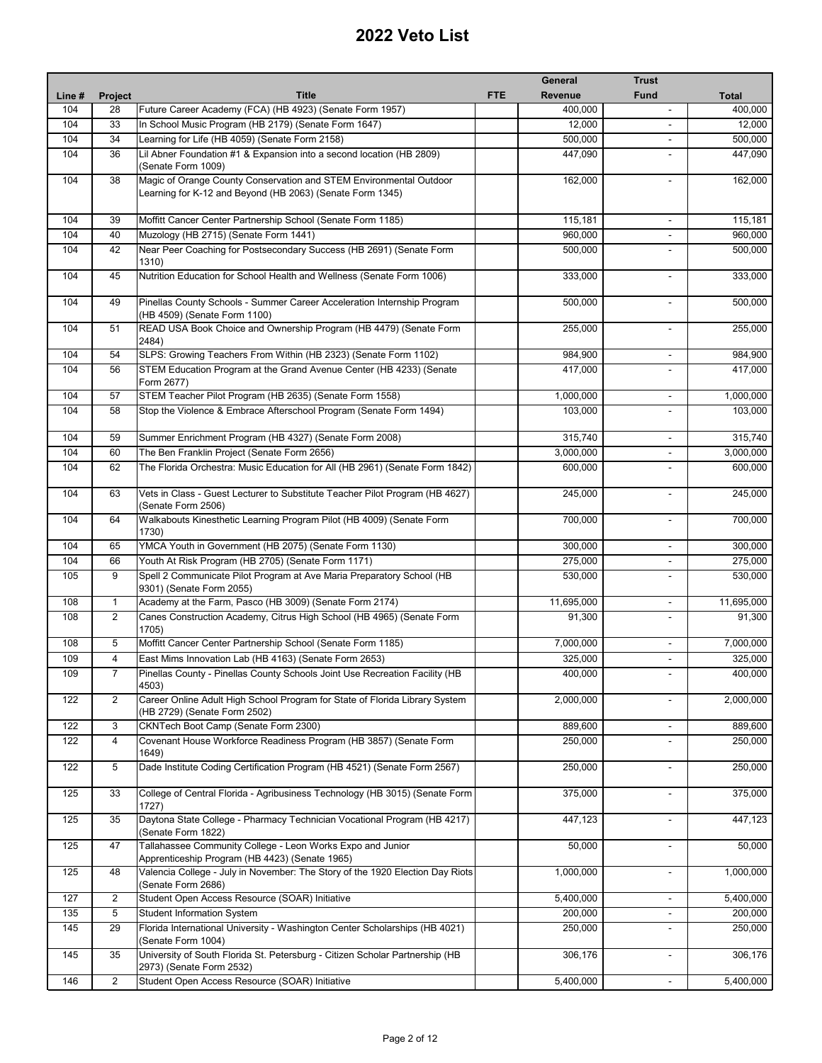|        |                |                                                                                                              |            | General        | <b>Trust</b>             |            |
|--------|----------------|--------------------------------------------------------------------------------------------------------------|------------|----------------|--------------------------|------------|
| Line # | Project        | <b>Title</b>                                                                                                 | <b>FTE</b> | <b>Revenue</b> | <b>Fund</b>              | Total      |
| 104    | 28             | Future Career Academy (FCA) (HB 4923) (Senate Form 1957)                                                     |            | 400,000        |                          | 400,000    |
| 104    | 33             | In School Music Program (HB 2179) (Senate Form 1647)                                                         |            | 12,000         |                          | 12,000     |
| 104    | 34             | Learning for Life (HB 4059) (Senate Form 2158)                                                               |            | 500,000        | ä,                       | 500,000    |
| 104    | 36             |                                                                                                              |            |                |                          |            |
|        |                | Lil Abner Foundation #1 & Expansion into a second location (HB 2809)<br>(Senate Form 1009)                   |            | 447,090        |                          | 447,090    |
| 104    | 38             | Magic of Orange County Conservation and STEM Environmental Outdoor                                           |            | 162,000        | $\overline{\phantom{a}}$ | 162,000    |
|        |                | Learning for K-12 and Beyond (HB 2063) (Senate Form 1345)                                                    |            |                |                          |            |
| 104    | 39             | Moffitt Cancer Center Partnership School (Senate Form 1185)                                                  |            | 115.181        | $\overline{\phantom{a}}$ | 115,181    |
| 104    | 40             | Muzology (HB 2715) (Senate Form 1441)                                                                        |            | 960,000        | $\blacksquare$           | 960,000    |
| 104    | 42             | Near Peer Coaching for Postsecondary Success (HB 2691) (Senate Form                                          |            | 500,000        |                          | 500,000    |
|        |                | 1310)                                                                                                        |            |                |                          |            |
| 104    | 45             | Nutrition Education for School Health and Wellness (Senate Form 1006)                                        |            | 333,000        | $\overline{\phantom{a}}$ | 333,000    |
| 104    | 49             | Pinellas County Schools - Summer Career Acceleration Internship Program<br>(HB 4509) (Senate Form 1100)      |            | 500,000        | $\overline{\phantom{a}}$ | 500,000    |
| 104    | 51             | READ USA Book Choice and Ownership Program (HB 4479) (Senate Form<br>2484)                                   |            | 255,000        | $\sim$                   | 255,000    |
| 104    | 54             | SLPS: Growing Teachers From Within (HB 2323) (Senate Form 1102)                                              |            | 984,900        | $\overline{\phantom{a}}$ | 984,900    |
| 104    | 56             | STEM Education Program at the Grand Avenue Center (HB 4233) (Senate                                          |            | 417,000        |                          | 417,000    |
|        |                | Form 2677)                                                                                                   |            |                |                          |            |
| 104    | 57             | STEM Teacher Pilot Program (HB 2635) (Senate Form 1558)                                                      |            | 1,000,000      | $\overline{\phantom{a}}$ | 1,000,000  |
| 104    | 58             | Stop the Violence & Embrace Afterschool Program (Senate Form 1494)                                           |            | 103,000        |                          | 103,000    |
|        |                |                                                                                                              |            |                |                          |            |
| 104    | 59             | Summer Enrichment Program (HB 4327) (Senate Form 2008)                                                       |            | 315,740        | $\overline{\phantom{a}}$ | 315,740    |
| 104    | 60             | The Ben Franklin Project (Senate Form 2656)                                                                  |            | 3,000,000      | $\overline{\phantom{a}}$ | 3,000,000  |
| 104    | 62             | The Florida Orchestra: Music Education for All (HB 2961) (Senate Form 1842)                                  |            | 600,000        |                          | 600,000    |
| 104    | 63             | Vets in Class - Guest Lecturer to Substitute Teacher Pilot Program (HB 4627)<br>(Senate Form 2506)           |            | 245,000        | $\sim$                   | 245,000    |
| 104    | 64             | Walkabouts Kinesthetic Learning Program Pilot (HB 4009) (Senate Form<br>1730)                                |            | 700,000        | $\overline{a}$           | 700,000    |
| 104    | 65             | YMCA Youth in Government (HB 2075) (Senate Form 1130)                                                        |            | 300,000        | $\blacksquare$           | 300,000    |
|        |                |                                                                                                              |            |                |                          |            |
| 104    | 66             | Youth At Risk Program (HB 2705) (Senate Form 1171)                                                           |            | 275,000        | $\blacksquare$           | 275,000    |
| 105    | 9              | Spell 2 Communicate Pilot Program at Ave Maria Preparatory School (HB<br>9301) (Senate Form 2055)            |            | 530,000        | $\blacksquare$           | 530,000    |
| 108    | $\mathbf{1}$   | Academy at the Farm, Pasco (HB 3009) (Senate Form 2174)                                                      |            | 11,695,000     | $\blacksquare$           | 11,695,000 |
| 108    | $\overline{2}$ | Canes Construction Academy, Citrus High School (HB 4965) (Senate Form<br>1705)                               |            | 91,300         | $\blacksquare$           | 91,300     |
| 108    | 5              | Moffitt Cancer Center Partnership School (Senate Form 1185)                                                  |            | 7,000,000      |                          | 7,000,000  |
| 109    | 4              | East Mims Innovation Lab (HB 4163) (Senate Form 2653)                                                        |            | 325,000        | $\blacksquare$           | 325,000    |
| 109    | 7              | Pinellas County - Pinellas County Schools Joint Use Recreation Facility (HB                                  |            | 400,000        |                          | 400,000    |
|        |                | 4503)                                                                                                        |            |                |                          |            |
| 122    | $\overline{2}$ | Career Online Adult High School Program for State of Florida Library System<br>(HB 2729) (Senate Form 2502)  |            | 2,000,000      |                          | 2,000,000  |
| 122    | 3              | CKNTech Boot Camp (Senate Form 2300)                                                                         |            | 889,600        | $\overline{\phantom{a}}$ | 889,600    |
| 122    | 4              | Covenant House Workforce Readiness Program (HB 3857) (Senate Form<br>1649)                                   |            | 250,000        |                          | 250,000    |
| 122    | 5              | Dade Institute Coding Certification Program (HB 4521) (Senate Form 2567)                                     |            | 250,000        | $\blacksquare$           | 250,000    |
| 125    | 33             | College of Central Florida - Agribusiness Technology (HB 3015) (Senate Form<br>1727)                         |            | 375,000        | $\overline{a}$           | 375,000    |
| 125    | 35             | Daytona State College - Pharmacy Technician Vocational Program (HB 4217)<br>(Senate Form 1822)               |            | 447,123        | $\blacksquare$           | 447,123    |
| 125    | 47             | Tallahassee Community College - Leon Works Expo and Junior<br>Apprenticeship Program (HB 4423) (Senate 1965) |            | 50,000         |                          | 50,000     |
| 125    | 48             | Valencia College - July in November: The Story of the 1920 Election Day Riots                                |            | 1,000,000      | $\overline{\phantom{a}}$ | 1,000,000  |
| 127    | $\overline{c}$ | (Senate Form 2686)<br>Student Open Access Resource (SOAR) Initiative                                         |            | 5,400,000      |                          | 5,400,000  |
|        |                |                                                                                                              |            |                | $\blacksquare$           |            |
| 135    | 5              | Student Information System                                                                                   |            | 200,000        | $\overline{\phantom{a}}$ | 200,000    |
| 145    | 29             | Florida International University - Washington Center Scholarships (HB 4021)<br>(Senate Form 1004)            |            | 250,000        |                          | 250,000    |
| 145    | 35             | University of South Florida St. Petersburg - Citizen Scholar Partnership (HB<br>2973) (Senate Form 2532)     |            | 306,176        | $\blacksquare$           | 306,176    |
| 146    | $\overline{2}$ | Student Open Access Resource (SOAR) Initiative                                                               |            | 5,400,000      | $\blacksquare$           | 5,400,000  |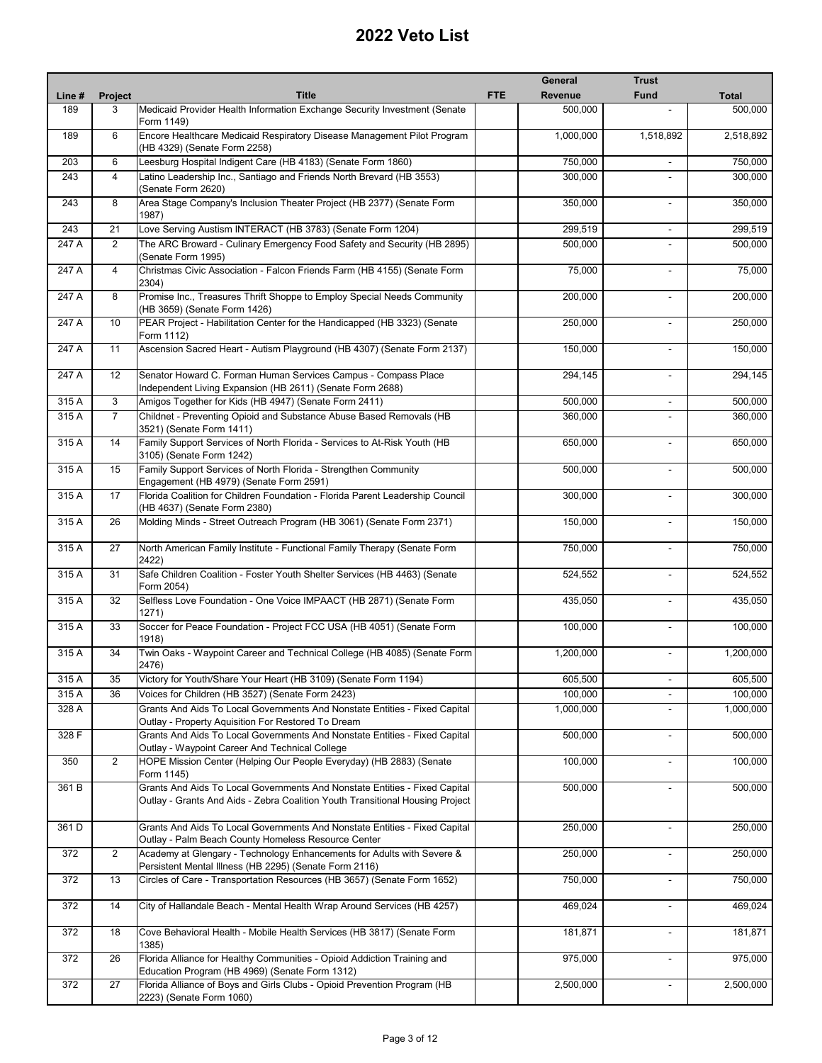|        |                |                                                                                                                                                             |            | <b>General</b> | <b>Trust</b>             |              |
|--------|----------------|-------------------------------------------------------------------------------------------------------------------------------------------------------------|------------|----------------|--------------------------|--------------|
| Line # | <b>Project</b> | <b>Title</b>                                                                                                                                                | <b>FTE</b> | Revenue        | <b>Fund</b>              | <b>Total</b> |
| 189    | 3              | Medicaid Provider Health Information Exchange Security Investment (Senate                                                                                   |            | 500,000        |                          | 500,000      |
| 189    | 6              | Form 1149)<br>Encore Healthcare Medicaid Respiratory Disease Management Pilot Program                                                                       |            | 1,000,000      | 1,518,892                | 2,518,892    |
| 203    | 6              | (HB 4329) (Senate Form 2258)<br>Leesburg Hospital Indigent Care (HB 4183) (Senate Form 1860)                                                                |            | 750,000        |                          | 750,000      |
| 243    | $\overline{4}$ | Latino Leadership Inc., Santiago and Friends North Brevard (HB 3553)                                                                                        |            | 300,000        |                          | 300,000      |
|        |                | (Senate Form 2620)                                                                                                                                          |            |                |                          |              |
| 243    | 8              | Area Stage Company's Inclusion Theater Project (HB 2377) (Senate Form<br>1987)                                                                              |            | 350,000        | $\sim$                   | 350,000      |
| 243    | 21             | Love Serving Austism INTERACT (HB 3783) (Senate Form 1204)                                                                                                  |            | 299,519        | $\overline{\phantom{a}}$ | 299,519      |
| 247 A  | $\overline{2}$ | The ARC Broward - Culinary Emergency Food Safety and Security (HB 2895)<br>(Senate Form 1995)                                                               |            | 500,000        |                          | 500,000      |
| 247 A  | 4              | Christmas Civic Association - Falcon Friends Farm (HB 4155) (Senate Form<br>2304)                                                                           |            | 75,000         | $\blacksquare$           | 75,000       |
| 247 A  | 8              | Promise Inc., Treasures Thrift Shoppe to Employ Special Needs Community<br>(HB 3659) (Senate Form 1426)                                                     |            | 200,000        |                          | 200,000      |
| 247 A  | 10             | PEAR Project - Habilitation Center for the Handicapped (HB 3323) (Senate<br>Form 1112)                                                                      |            | 250,000        |                          | 250,000      |
| 247 A  | 11             | Ascension Sacred Heart - Autism Playground (HB 4307) (Senate Form 2137)                                                                                     |            | 150,000        | $\overline{\phantom{a}}$ | 150,000      |
| 247A   | 12             | Senator Howard C. Forman Human Services Campus - Compass Place<br>Independent Living Expansion (HB 2611) (Senate Form 2688)                                 |            | 294,145        | $\blacksquare$           | 294,145      |
| 315A   | 3              | Amigos Together for Kids (HB 4947) (Senate Form 2411)                                                                                                       |            | 500.000        | $\sim$                   | 500,000      |
| 315 A  | $\overline{7}$ | Childnet - Preventing Opioid and Substance Abuse Based Removals (HB<br>3521) (Senate Form 1411)                                                             |            | 360,000        | $\overline{\phantom{a}}$ | 360,000      |
| 315 A  | 14             | Family Support Services of North Florida - Services to At-Risk Youth (HB<br>3105) (Senate Form 1242)                                                        |            | 650,000        |                          | 650,000      |
| 315 A  | 15             | Family Support Services of North Florida - Strengthen Community<br>Engagement (HB 4979) (Senate Form 2591)                                                  |            | 500,000        | $\blacksquare$           | 500,000      |
| 315 A  | 17             | Florida Coalition for Children Foundation - Florida Parent Leadership Council<br>(HB 4637) (Senate Form 2380)                                               |            | 300,000        | $\blacksquare$           | 300,000      |
| 315 A  | 26             | Molding Minds - Street Outreach Program (HB 3061) (Senate Form 2371)                                                                                        |            | 150,000        |                          | 150,000      |
| 315 A  | 27             | North American Family Institute - Functional Family Therapy (Senate Form<br>2422)                                                                           |            | 750,000        |                          | 750,000      |
| 315 A  | 31             | Safe Children Coalition - Foster Youth Shelter Services (HB 4463) (Senate<br>Form 2054)                                                                     |            | 524,552        |                          | 524,552      |
| 315 A  | 32             | Selfless Love Foundation - One Voice IMPAACT (HB 2871) (Senate Form<br>1271)                                                                                |            | 435,050        | $\sim$                   | 435,050      |
| 315 A  | 33             | Soccer for Peace Foundation - Project FCC USA (HB 4051) (Senate Form<br>1918)                                                                               |            | 100,000        |                          | 100,000      |
| 315 A  | 34             | Twin Oaks - Waypoint Career and Technical College (HB 4085) (Senate Form<br>2476)                                                                           |            | 1,200,000      |                          | 1,200,000    |
| 315 A  | 35             | Victory for Youth/Share Your Heart (HB 3109) (Senate Form 1194)                                                                                             |            | 605,500        |                          | 605,500      |
| 315 A  | 36             | Voices for Children (HB 3527) (Senate Form 2423)                                                                                                            |            | 100,000        |                          | 100,000      |
| 328 A  |                | Grants And Aids To Local Governments And Nonstate Entities - Fixed Capital<br>Outlay - Property Aquisition For Restored To Dream                            |            | 1,000,000      |                          | 1,000,000    |
| 328 F  |                | Grants And Aids To Local Governments And Nonstate Entities - Fixed Capital<br>Outlay - Waypoint Career And Technical College                                |            | 500,000        | $\blacksquare$           | 500,000      |
| 350    | $\overline{2}$ | HOPE Mission Center (Helping Our People Everyday) (HB 2883) (Senate<br>Form 1145)                                                                           |            | 100,000        | $\blacksquare$           | 100,000      |
| 361 B  |                | Grants And Aids To Local Governments And Nonstate Entities - Fixed Capital<br>Outlay - Grants And Aids - Zebra Coalition Youth Transitional Housing Project |            | 500,000        |                          | 500,000      |
| 361 D  |                | Grants And Aids To Local Governments And Nonstate Entities - Fixed Capital<br>Outlay - Palm Beach County Homeless Resource Center                           |            | 250,000        | $\overline{\phantom{a}}$ | 250,000      |
| 372    | $\overline{2}$ | Academy at Glengary - Technology Enhancements for Adults with Severe &<br>Persistent Mental Illness (HB 2295) (Senate Form 2116)                            |            | 250,000        |                          | 250,000      |
| 372    | 13             | Circles of Care - Transportation Resources (HB 3657) (Senate Form 1652)                                                                                     |            | 750,000        | $\blacksquare$           | 750,000      |
| 372    | 14             | City of Hallandale Beach - Mental Health Wrap Around Services (HB 4257)                                                                                     |            | 469,024        | $\blacksquare$           | 469,024      |
| 372    | 18             | Cove Behavioral Health - Mobile Health Services (HB 3817) (Senate Form<br>1385)                                                                             |            | 181,871        |                          | 181,871      |
| 372    | 26             | Florida Alliance for Healthy Communities - Opioid Addiction Training and<br>Education Program (HB 4969) (Senate Form 1312)                                  |            | 975,000        | ۰                        | 975,000      |
| 372    | 27             | Florida Alliance of Boys and Girls Clubs - Opioid Prevention Program (HB<br>2223) (Senate Form 1060)                                                        |            | 2,500,000      | $\blacksquare$           | 2,500,000    |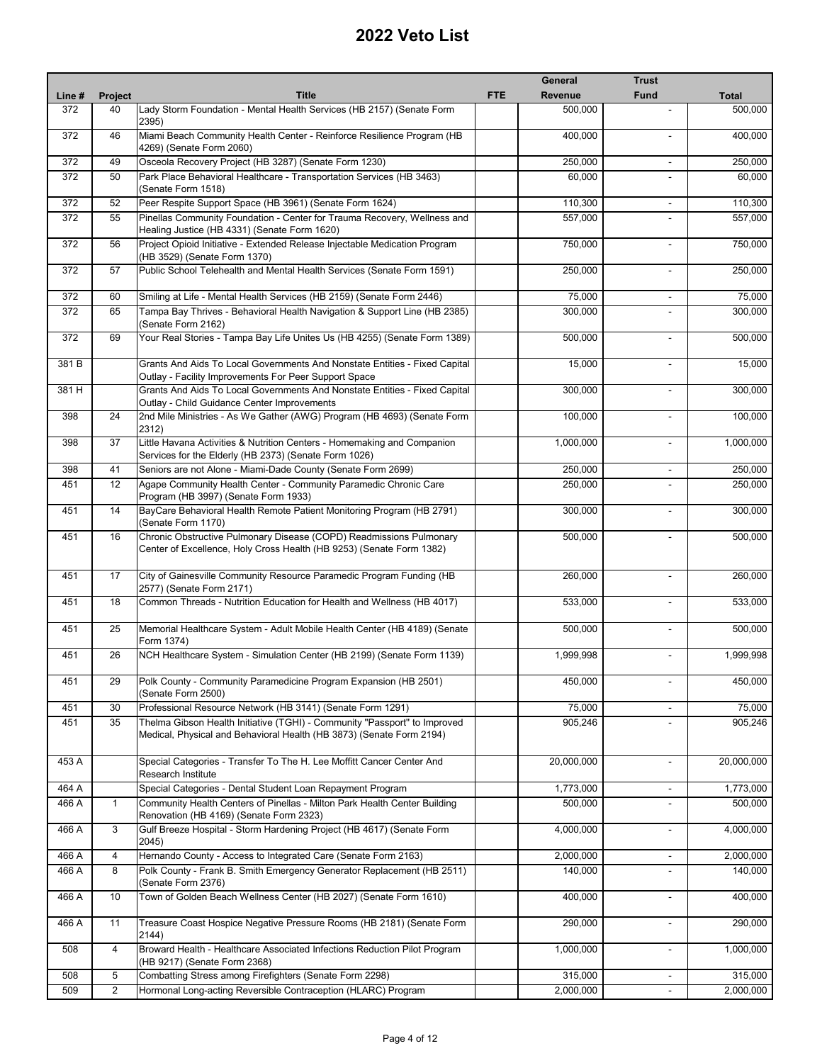| <b>Fund</b><br><b>Title</b><br><b>FTE</b><br>Revenue<br><b>Total</b><br>Line #<br><b>Project</b><br>Lady Storm Foundation - Mental Health Services (HB 2157) (Senate Form<br>372<br>40<br>500,000<br>2395)<br>372<br>46<br>Miami Beach Community Health Center - Reinforce Resilience Program (HB<br>400,000<br>4269) (Senate Form 2060)<br>372<br>Osceola Recovery Project (HB 3287) (Senate Form 1230)<br>250.000<br>49<br>$\blacksquare$<br>Park Place Behavioral Healthcare - Transportation Services (HB 3463)<br>372<br>50<br>60,000<br>(Senate Form 1518)<br>372<br>Peer Respite Support Space (HB 3961) (Senate Form 1624)<br>52<br>110,300<br>$\overline{\phantom{a}}$<br>372<br>55<br>Pinellas Community Foundation - Center for Trauma Recovery, Wellness and<br>557,000<br>Healing Justice (HB 4331) (Senate Form 1620)<br>372<br>56<br>Project Opioid Initiative - Extended Release Injectable Medication Program<br>750,000<br>$\blacksquare$<br>(HB 3529) (Senate Form 1370)<br>Public School Telehealth and Mental Health Services (Senate Form 1591)<br>372<br>57<br>250,000<br>$\blacksquare$<br>Smiling at Life - Mental Health Services (HB 2159) (Senate Form 2446)<br>372<br>75,000<br>60<br>Tampa Bay Thrives - Behavioral Health Navigation & Support Line (HB 2385)<br>372<br>65<br>300,000<br>$\blacksquare$<br>(Senate Form 2162)<br>372<br>Your Real Stories - Tampa Bay Life Unites Us (HB 4255) (Senate Form 1389)<br>69<br>500.000<br>381 B<br>Grants And Aids To Local Governments And Nonstate Entities - Fixed Capital<br>15,000<br>$\sim$<br>Outlay - Facility Improvements For Peer Support Space<br>381 H<br>Grants And Aids To Local Governments And Nonstate Entities - Fixed Capital<br>300.000<br>$\overline{\phantom{a}}$<br>Outlay - Child Guidance Center Improvements<br>398<br>24<br>2nd Mile Ministries - As We Gather (AWG) Program (HB 4693) (Senate Form<br>100,000<br>$\blacksquare$<br>2312)<br>Little Havana Activities & Nutrition Centers - Homemaking and Companion<br>37<br>1,000,000<br>398<br>Services for the Elderly (HB 2373) (Senate Form 1026)<br>Seniors are not Alone - Miami-Dade County (Senate Form 2699)<br>398<br>41<br>250,000<br>$\overline{\phantom{a}}$<br>12<br>Agape Community Health Center - Community Paramedic Chronic Care<br>250,000<br>451<br>Program (HB 3997) (Senate Form 1933)<br>BayCare Behavioral Health Remote Patient Monitoring Program (HB 2791)<br>451<br>14<br>300,000<br>$\blacksquare$<br>(Senate Form 1170)<br>Chronic Obstructive Pulmonary Disease (COPD) Readmissions Pulmonary<br>500,000<br>451<br>16<br>$\blacksquare$<br>Center of Excellence, Holy Cross Health (HB 9253) (Senate Form 1382)<br>451<br>17<br>City of Gainesville Community Resource Paramedic Program Funding (HB<br>260,000<br>$\overline{\phantom{a}}$<br>2577) (Senate Form 2171)<br>Common Threads - Nutrition Education for Health and Wellness (HB 4017)<br>533,000<br>451<br>18<br>Memorial Healthcare System - Adult Mobile Health Center (HB 4189) (Senate<br>451<br>25<br>500,000<br>Form 1374)<br>NCH Healthcare System - Simulation Center (HB 2199) (Senate Form 1139)<br>26<br>1,999,998<br>451<br>$\blacksquare$<br>Polk County - Community Paramedicine Program Expansion (HB 2501)<br>450,000<br>451<br>29<br>(Senate Form 2500)<br>Professional Resource Network (HB 3141) (Senate Form 1291)<br>75,000<br>451<br>30<br>Thelma Gibson Health Initiative (TGHI) - Community "Passport" to Improved<br>35<br>905,246<br>451<br>$\blacksquare$<br>Medical, Physical and Behavioral Health (HB 3873) (Senate Form 2194)<br>453 A<br>20,000,000<br>Special Categories - Transfer To The H. Lee Moffitt Cancer Center And<br>$\blacksquare$<br>Research Institute<br>464 A<br>Special Categories - Dental Student Loan Repayment Program<br>1,773,000<br>466 A<br>Community Health Centers of Pinellas - Milton Park Health Center Building<br>500,000<br>$\mathbf{1}$<br>$\overline{\phantom{a}}$<br>Renovation (HB 4169) (Senate Form 2323)<br>3<br>Gulf Breeze Hospital - Storm Hardening Project (HB 4617) (Senate Form<br>466 A<br>4,000,000<br>$\overline{a}$<br>2045)<br>Hernando County - Access to Integrated Care (Senate Form 2163)<br>466 A<br>4<br>2,000,000<br>$\blacksquare$<br>8<br>Polk County - Frank B. Smith Emergency Generator Replacement (HB 2511)<br>466 A<br>140,000<br>(Senate Form 2376)<br>Town of Golden Beach Wellness Center (HB 2027) (Senate Form 1610)<br>466 A<br>10<br>400,000<br>$\blacksquare$<br>466 A<br>11<br>Treasure Coast Hospice Negative Pressure Rooms (HB 2181) (Senate Form<br>290,000<br>$\blacksquare$<br>2144)<br>Broward Health - Healthcare Associated Infections Reduction Pilot Program<br>508<br>4<br>1,000,000<br>(HB 9217) (Senate Form 2368)<br>Combatting Stress among Firefighters (Senate Form 2298)<br>508<br>5<br>315,000<br>$\overline{\phantom{a}}$<br>2<br>Hormonal Long-acting Reversible Contraception (HLARC) Program<br>2,000,000<br>509<br>$\blacksquare$ |  | General | <b>Trust</b> |            |
|-----------------------------------------------------------------------------------------------------------------------------------------------------------------------------------------------------------------------------------------------------------------------------------------------------------------------------------------------------------------------------------------------------------------------------------------------------------------------------------------------------------------------------------------------------------------------------------------------------------------------------------------------------------------------------------------------------------------------------------------------------------------------------------------------------------------------------------------------------------------------------------------------------------------------------------------------------------------------------------------------------------------------------------------------------------------------------------------------------------------------------------------------------------------------------------------------------------------------------------------------------------------------------------------------------------------------------------------------------------------------------------------------------------------------------------------------------------------------------------------------------------------------------------------------------------------------------------------------------------------------------------------------------------------------------------------------------------------------------------------------------------------------------------------------------------------------------------------------------------------------------------------------------------------------------------------------------------------------------------------------------------------------------------------------------------------------------------------------------------------------------------------------------------------------------------------------------------------------------------------------------------------------------------------------------------------------------------------------------------------------------------------------------------------------------------------------------------------------------------------------------------------------------------------------------------------------------------------------------------------------------------------------------------------------------------------------------------------------------------------------------------------------------------------------------------------------------------------------------------------------------------------------------------------------------------------------------------------------------------------------------------------------------------------------------------------------------------------------------------------------------------------------------------------------------------------------------------------------------------------------------------------------------------------------------------------------------------------------------------------------------------------------------------------------------------------------------------------------------------------------------------------------------------------------------------------------------------------------------------------------------------------------------------------------------------------------------------------------------------------------------------------------------------------------------------------------------------------------------------------------------------------------------------------------------------------------------------------------------------------------------------------------------------------------------------------------------------------------------------------------------------------------------------------------------------------------------------------------------------------------------------------------------------------------------------------------------------------------------------------------------------------------------------------------------------------------------------------------------------------------------------------------------------------------------------------------------------------------------------------------------------------------------------------------------------------------------------------------------------------------------------------------------------------------------------------------------------------------------------------------------------------------------------------------------------------------------------------------------------------------------------------------------|--|---------|--------------|------------|
|                                                                                                                                                                                                                                                                                                                                                                                                                                                                                                                                                                                                                                                                                                                                                                                                                                                                                                                                                                                                                                                                                                                                                                                                                                                                                                                                                                                                                                                                                                                                                                                                                                                                                                                                                                                                                                                                                                                                                                                                                                                                                                                                                                                                                                                                                                                                                                                                                                                                                                                                                                                                                                                                                                                                                                                                                                                                                                                                                                                                                                                                                                                                                                                                                                                                                                                                                                                                                                                                                                                                                                                                                                                                                                                                                                                                                                                                                                                                                                                                                                                                                                                                                                                                                                                                                                                                                                                                                                                                                                                                                                                                                                                                                                                                                                                                                                                                                                                                                                                                                             |  |         |              |            |
|                                                                                                                                                                                                                                                                                                                                                                                                                                                                                                                                                                                                                                                                                                                                                                                                                                                                                                                                                                                                                                                                                                                                                                                                                                                                                                                                                                                                                                                                                                                                                                                                                                                                                                                                                                                                                                                                                                                                                                                                                                                                                                                                                                                                                                                                                                                                                                                                                                                                                                                                                                                                                                                                                                                                                                                                                                                                                                                                                                                                                                                                                                                                                                                                                                                                                                                                                                                                                                                                                                                                                                                                                                                                                                                                                                                                                                                                                                                                                                                                                                                                                                                                                                                                                                                                                                                                                                                                                                                                                                                                                                                                                                                                                                                                                                                                                                                                                                                                                                                                                             |  |         |              | 500,000    |
|                                                                                                                                                                                                                                                                                                                                                                                                                                                                                                                                                                                                                                                                                                                                                                                                                                                                                                                                                                                                                                                                                                                                                                                                                                                                                                                                                                                                                                                                                                                                                                                                                                                                                                                                                                                                                                                                                                                                                                                                                                                                                                                                                                                                                                                                                                                                                                                                                                                                                                                                                                                                                                                                                                                                                                                                                                                                                                                                                                                                                                                                                                                                                                                                                                                                                                                                                                                                                                                                                                                                                                                                                                                                                                                                                                                                                                                                                                                                                                                                                                                                                                                                                                                                                                                                                                                                                                                                                                                                                                                                                                                                                                                                                                                                                                                                                                                                                                                                                                                                                             |  |         |              | 400,000    |
|                                                                                                                                                                                                                                                                                                                                                                                                                                                                                                                                                                                                                                                                                                                                                                                                                                                                                                                                                                                                                                                                                                                                                                                                                                                                                                                                                                                                                                                                                                                                                                                                                                                                                                                                                                                                                                                                                                                                                                                                                                                                                                                                                                                                                                                                                                                                                                                                                                                                                                                                                                                                                                                                                                                                                                                                                                                                                                                                                                                                                                                                                                                                                                                                                                                                                                                                                                                                                                                                                                                                                                                                                                                                                                                                                                                                                                                                                                                                                                                                                                                                                                                                                                                                                                                                                                                                                                                                                                                                                                                                                                                                                                                                                                                                                                                                                                                                                                                                                                                                                             |  |         |              | 250,000    |
|                                                                                                                                                                                                                                                                                                                                                                                                                                                                                                                                                                                                                                                                                                                                                                                                                                                                                                                                                                                                                                                                                                                                                                                                                                                                                                                                                                                                                                                                                                                                                                                                                                                                                                                                                                                                                                                                                                                                                                                                                                                                                                                                                                                                                                                                                                                                                                                                                                                                                                                                                                                                                                                                                                                                                                                                                                                                                                                                                                                                                                                                                                                                                                                                                                                                                                                                                                                                                                                                                                                                                                                                                                                                                                                                                                                                                                                                                                                                                                                                                                                                                                                                                                                                                                                                                                                                                                                                                                                                                                                                                                                                                                                                                                                                                                                                                                                                                                                                                                                                                             |  |         |              | 60,000     |
|                                                                                                                                                                                                                                                                                                                                                                                                                                                                                                                                                                                                                                                                                                                                                                                                                                                                                                                                                                                                                                                                                                                                                                                                                                                                                                                                                                                                                                                                                                                                                                                                                                                                                                                                                                                                                                                                                                                                                                                                                                                                                                                                                                                                                                                                                                                                                                                                                                                                                                                                                                                                                                                                                                                                                                                                                                                                                                                                                                                                                                                                                                                                                                                                                                                                                                                                                                                                                                                                                                                                                                                                                                                                                                                                                                                                                                                                                                                                                                                                                                                                                                                                                                                                                                                                                                                                                                                                                                                                                                                                                                                                                                                                                                                                                                                                                                                                                                                                                                                                                             |  |         |              | 110,300    |
|                                                                                                                                                                                                                                                                                                                                                                                                                                                                                                                                                                                                                                                                                                                                                                                                                                                                                                                                                                                                                                                                                                                                                                                                                                                                                                                                                                                                                                                                                                                                                                                                                                                                                                                                                                                                                                                                                                                                                                                                                                                                                                                                                                                                                                                                                                                                                                                                                                                                                                                                                                                                                                                                                                                                                                                                                                                                                                                                                                                                                                                                                                                                                                                                                                                                                                                                                                                                                                                                                                                                                                                                                                                                                                                                                                                                                                                                                                                                                                                                                                                                                                                                                                                                                                                                                                                                                                                                                                                                                                                                                                                                                                                                                                                                                                                                                                                                                                                                                                                                                             |  |         |              | 557,000    |
|                                                                                                                                                                                                                                                                                                                                                                                                                                                                                                                                                                                                                                                                                                                                                                                                                                                                                                                                                                                                                                                                                                                                                                                                                                                                                                                                                                                                                                                                                                                                                                                                                                                                                                                                                                                                                                                                                                                                                                                                                                                                                                                                                                                                                                                                                                                                                                                                                                                                                                                                                                                                                                                                                                                                                                                                                                                                                                                                                                                                                                                                                                                                                                                                                                                                                                                                                                                                                                                                                                                                                                                                                                                                                                                                                                                                                                                                                                                                                                                                                                                                                                                                                                                                                                                                                                                                                                                                                                                                                                                                                                                                                                                                                                                                                                                                                                                                                                                                                                                                                             |  |         |              | 750,000    |
|                                                                                                                                                                                                                                                                                                                                                                                                                                                                                                                                                                                                                                                                                                                                                                                                                                                                                                                                                                                                                                                                                                                                                                                                                                                                                                                                                                                                                                                                                                                                                                                                                                                                                                                                                                                                                                                                                                                                                                                                                                                                                                                                                                                                                                                                                                                                                                                                                                                                                                                                                                                                                                                                                                                                                                                                                                                                                                                                                                                                                                                                                                                                                                                                                                                                                                                                                                                                                                                                                                                                                                                                                                                                                                                                                                                                                                                                                                                                                                                                                                                                                                                                                                                                                                                                                                                                                                                                                                                                                                                                                                                                                                                                                                                                                                                                                                                                                                                                                                                                                             |  |         |              | 250,000    |
|                                                                                                                                                                                                                                                                                                                                                                                                                                                                                                                                                                                                                                                                                                                                                                                                                                                                                                                                                                                                                                                                                                                                                                                                                                                                                                                                                                                                                                                                                                                                                                                                                                                                                                                                                                                                                                                                                                                                                                                                                                                                                                                                                                                                                                                                                                                                                                                                                                                                                                                                                                                                                                                                                                                                                                                                                                                                                                                                                                                                                                                                                                                                                                                                                                                                                                                                                                                                                                                                                                                                                                                                                                                                                                                                                                                                                                                                                                                                                                                                                                                                                                                                                                                                                                                                                                                                                                                                                                                                                                                                                                                                                                                                                                                                                                                                                                                                                                                                                                                                                             |  |         |              | 75,000     |
|                                                                                                                                                                                                                                                                                                                                                                                                                                                                                                                                                                                                                                                                                                                                                                                                                                                                                                                                                                                                                                                                                                                                                                                                                                                                                                                                                                                                                                                                                                                                                                                                                                                                                                                                                                                                                                                                                                                                                                                                                                                                                                                                                                                                                                                                                                                                                                                                                                                                                                                                                                                                                                                                                                                                                                                                                                                                                                                                                                                                                                                                                                                                                                                                                                                                                                                                                                                                                                                                                                                                                                                                                                                                                                                                                                                                                                                                                                                                                                                                                                                                                                                                                                                                                                                                                                                                                                                                                                                                                                                                                                                                                                                                                                                                                                                                                                                                                                                                                                                                                             |  |         |              | 300,000    |
|                                                                                                                                                                                                                                                                                                                                                                                                                                                                                                                                                                                                                                                                                                                                                                                                                                                                                                                                                                                                                                                                                                                                                                                                                                                                                                                                                                                                                                                                                                                                                                                                                                                                                                                                                                                                                                                                                                                                                                                                                                                                                                                                                                                                                                                                                                                                                                                                                                                                                                                                                                                                                                                                                                                                                                                                                                                                                                                                                                                                                                                                                                                                                                                                                                                                                                                                                                                                                                                                                                                                                                                                                                                                                                                                                                                                                                                                                                                                                                                                                                                                                                                                                                                                                                                                                                                                                                                                                                                                                                                                                                                                                                                                                                                                                                                                                                                                                                                                                                                                                             |  |         |              | 500,000    |
|                                                                                                                                                                                                                                                                                                                                                                                                                                                                                                                                                                                                                                                                                                                                                                                                                                                                                                                                                                                                                                                                                                                                                                                                                                                                                                                                                                                                                                                                                                                                                                                                                                                                                                                                                                                                                                                                                                                                                                                                                                                                                                                                                                                                                                                                                                                                                                                                                                                                                                                                                                                                                                                                                                                                                                                                                                                                                                                                                                                                                                                                                                                                                                                                                                                                                                                                                                                                                                                                                                                                                                                                                                                                                                                                                                                                                                                                                                                                                                                                                                                                                                                                                                                                                                                                                                                                                                                                                                                                                                                                                                                                                                                                                                                                                                                                                                                                                                                                                                                                                             |  |         |              | 15,000     |
|                                                                                                                                                                                                                                                                                                                                                                                                                                                                                                                                                                                                                                                                                                                                                                                                                                                                                                                                                                                                                                                                                                                                                                                                                                                                                                                                                                                                                                                                                                                                                                                                                                                                                                                                                                                                                                                                                                                                                                                                                                                                                                                                                                                                                                                                                                                                                                                                                                                                                                                                                                                                                                                                                                                                                                                                                                                                                                                                                                                                                                                                                                                                                                                                                                                                                                                                                                                                                                                                                                                                                                                                                                                                                                                                                                                                                                                                                                                                                                                                                                                                                                                                                                                                                                                                                                                                                                                                                                                                                                                                                                                                                                                                                                                                                                                                                                                                                                                                                                                                                             |  |         |              | 300,000    |
|                                                                                                                                                                                                                                                                                                                                                                                                                                                                                                                                                                                                                                                                                                                                                                                                                                                                                                                                                                                                                                                                                                                                                                                                                                                                                                                                                                                                                                                                                                                                                                                                                                                                                                                                                                                                                                                                                                                                                                                                                                                                                                                                                                                                                                                                                                                                                                                                                                                                                                                                                                                                                                                                                                                                                                                                                                                                                                                                                                                                                                                                                                                                                                                                                                                                                                                                                                                                                                                                                                                                                                                                                                                                                                                                                                                                                                                                                                                                                                                                                                                                                                                                                                                                                                                                                                                                                                                                                                                                                                                                                                                                                                                                                                                                                                                                                                                                                                                                                                                                                             |  |         |              | 100,000    |
|                                                                                                                                                                                                                                                                                                                                                                                                                                                                                                                                                                                                                                                                                                                                                                                                                                                                                                                                                                                                                                                                                                                                                                                                                                                                                                                                                                                                                                                                                                                                                                                                                                                                                                                                                                                                                                                                                                                                                                                                                                                                                                                                                                                                                                                                                                                                                                                                                                                                                                                                                                                                                                                                                                                                                                                                                                                                                                                                                                                                                                                                                                                                                                                                                                                                                                                                                                                                                                                                                                                                                                                                                                                                                                                                                                                                                                                                                                                                                                                                                                                                                                                                                                                                                                                                                                                                                                                                                                                                                                                                                                                                                                                                                                                                                                                                                                                                                                                                                                                                                             |  |         |              | 1,000,000  |
|                                                                                                                                                                                                                                                                                                                                                                                                                                                                                                                                                                                                                                                                                                                                                                                                                                                                                                                                                                                                                                                                                                                                                                                                                                                                                                                                                                                                                                                                                                                                                                                                                                                                                                                                                                                                                                                                                                                                                                                                                                                                                                                                                                                                                                                                                                                                                                                                                                                                                                                                                                                                                                                                                                                                                                                                                                                                                                                                                                                                                                                                                                                                                                                                                                                                                                                                                                                                                                                                                                                                                                                                                                                                                                                                                                                                                                                                                                                                                                                                                                                                                                                                                                                                                                                                                                                                                                                                                                                                                                                                                                                                                                                                                                                                                                                                                                                                                                                                                                                                                             |  |         |              | 250,000    |
|                                                                                                                                                                                                                                                                                                                                                                                                                                                                                                                                                                                                                                                                                                                                                                                                                                                                                                                                                                                                                                                                                                                                                                                                                                                                                                                                                                                                                                                                                                                                                                                                                                                                                                                                                                                                                                                                                                                                                                                                                                                                                                                                                                                                                                                                                                                                                                                                                                                                                                                                                                                                                                                                                                                                                                                                                                                                                                                                                                                                                                                                                                                                                                                                                                                                                                                                                                                                                                                                                                                                                                                                                                                                                                                                                                                                                                                                                                                                                                                                                                                                                                                                                                                                                                                                                                                                                                                                                                                                                                                                                                                                                                                                                                                                                                                                                                                                                                                                                                                                                             |  |         |              | 250,000    |
|                                                                                                                                                                                                                                                                                                                                                                                                                                                                                                                                                                                                                                                                                                                                                                                                                                                                                                                                                                                                                                                                                                                                                                                                                                                                                                                                                                                                                                                                                                                                                                                                                                                                                                                                                                                                                                                                                                                                                                                                                                                                                                                                                                                                                                                                                                                                                                                                                                                                                                                                                                                                                                                                                                                                                                                                                                                                                                                                                                                                                                                                                                                                                                                                                                                                                                                                                                                                                                                                                                                                                                                                                                                                                                                                                                                                                                                                                                                                                                                                                                                                                                                                                                                                                                                                                                                                                                                                                                                                                                                                                                                                                                                                                                                                                                                                                                                                                                                                                                                                                             |  |         |              | 300,000    |
|                                                                                                                                                                                                                                                                                                                                                                                                                                                                                                                                                                                                                                                                                                                                                                                                                                                                                                                                                                                                                                                                                                                                                                                                                                                                                                                                                                                                                                                                                                                                                                                                                                                                                                                                                                                                                                                                                                                                                                                                                                                                                                                                                                                                                                                                                                                                                                                                                                                                                                                                                                                                                                                                                                                                                                                                                                                                                                                                                                                                                                                                                                                                                                                                                                                                                                                                                                                                                                                                                                                                                                                                                                                                                                                                                                                                                                                                                                                                                                                                                                                                                                                                                                                                                                                                                                                                                                                                                                                                                                                                                                                                                                                                                                                                                                                                                                                                                                                                                                                                                             |  |         |              | 500,000    |
|                                                                                                                                                                                                                                                                                                                                                                                                                                                                                                                                                                                                                                                                                                                                                                                                                                                                                                                                                                                                                                                                                                                                                                                                                                                                                                                                                                                                                                                                                                                                                                                                                                                                                                                                                                                                                                                                                                                                                                                                                                                                                                                                                                                                                                                                                                                                                                                                                                                                                                                                                                                                                                                                                                                                                                                                                                                                                                                                                                                                                                                                                                                                                                                                                                                                                                                                                                                                                                                                                                                                                                                                                                                                                                                                                                                                                                                                                                                                                                                                                                                                                                                                                                                                                                                                                                                                                                                                                                                                                                                                                                                                                                                                                                                                                                                                                                                                                                                                                                                                                             |  |         |              | 260,000    |
|                                                                                                                                                                                                                                                                                                                                                                                                                                                                                                                                                                                                                                                                                                                                                                                                                                                                                                                                                                                                                                                                                                                                                                                                                                                                                                                                                                                                                                                                                                                                                                                                                                                                                                                                                                                                                                                                                                                                                                                                                                                                                                                                                                                                                                                                                                                                                                                                                                                                                                                                                                                                                                                                                                                                                                                                                                                                                                                                                                                                                                                                                                                                                                                                                                                                                                                                                                                                                                                                                                                                                                                                                                                                                                                                                                                                                                                                                                                                                                                                                                                                                                                                                                                                                                                                                                                                                                                                                                                                                                                                                                                                                                                                                                                                                                                                                                                                                                                                                                                                                             |  |         |              | 533,000    |
|                                                                                                                                                                                                                                                                                                                                                                                                                                                                                                                                                                                                                                                                                                                                                                                                                                                                                                                                                                                                                                                                                                                                                                                                                                                                                                                                                                                                                                                                                                                                                                                                                                                                                                                                                                                                                                                                                                                                                                                                                                                                                                                                                                                                                                                                                                                                                                                                                                                                                                                                                                                                                                                                                                                                                                                                                                                                                                                                                                                                                                                                                                                                                                                                                                                                                                                                                                                                                                                                                                                                                                                                                                                                                                                                                                                                                                                                                                                                                                                                                                                                                                                                                                                                                                                                                                                                                                                                                                                                                                                                                                                                                                                                                                                                                                                                                                                                                                                                                                                                                             |  |         |              | 500,000    |
|                                                                                                                                                                                                                                                                                                                                                                                                                                                                                                                                                                                                                                                                                                                                                                                                                                                                                                                                                                                                                                                                                                                                                                                                                                                                                                                                                                                                                                                                                                                                                                                                                                                                                                                                                                                                                                                                                                                                                                                                                                                                                                                                                                                                                                                                                                                                                                                                                                                                                                                                                                                                                                                                                                                                                                                                                                                                                                                                                                                                                                                                                                                                                                                                                                                                                                                                                                                                                                                                                                                                                                                                                                                                                                                                                                                                                                                                                                                                                                                                                                                                                                                                                                                                                                                                                                                                                                                                                                                                                                                                                                                                                                                                                                                                                                                                                                                                                                                                                                                                                             |  |         |              | 1,999,998  |
|                                                                                                                                                                                                                                                                                                                                                                                                                                                                                                                                                                                                                                                                                                                                                                                                                                                                                                                                                                                                                                                                                                                                                                                                                                                                                                                                                                                                                                                                                                                                                                                                                                                                                                                                                                                                                                                                                                                                                                                                                                                                                                                                                                                                                                                                                                                                                                                                                                                                                                                                                                                                                                                                                                                                                                                                                                                                                                                                                                                                                                                                                                                                                                                                                                                                                                                                                                                                                                                                                                                                                                                                                                                                                                                                                                                                                                                                                                                                                                                                                                                                                                                                                                                                                                                                                                                                                                                                                                                                                                                                                                                                                                                                                                                                                                                                                                                                                                                                                                                                                             |  |         |              | 450,000    |
|                                                                                                                                                                                                                                                                                                                                                                                                                                                                                                                                                                                                                                                                                                                                                                                                                                                                                                                                                                                                                                                                                                                                                                                                                                                                                                                                                                                                                                                                                                                                                                                                                                                                                                                                                                                                                                                                                                                                                                                                                                                                                                                                                                                                                                                                                                                                                                                                                                                                                                                                                                                                                                                                                                                                                                                                                                                                                                                                                                                                                                                                                                                                                                                                                                                                                                                                                                                                                                                                                                                                                                                                                                                                                                                                                                                                                                                                                                                                                                                                                                                                                                                                                                                                                                                                                                                                                                                                                                                                                                                                                                                                                                                                                                                                                                                                                                                                                                                                                                                                                             |  |         |              | 75,000     |
|                                                                                                                                                                                                                                                                                                                                                                                                                                                                                                                                                                                                                                                                                                                                                                                                                                                                                                                                                                                                                                                                                                                                                                                                                                                                                                                                                                                                                                                                                                                                                                                                                                                                                                                                                                                                                                                                                                                                                                                                                                                                                                                                                                                                                                                                                                                                                                                                                                                                                                                                                                                                                                                                                                                                                                                                                                                                                                                                                                                                                                                                                                                                                                                                                                                                                                                                                                                                                                                                                                                                                                                                                                                                                                                                                                                                                                                                                                                                                                                                                                                                                                                                                                                                                                                                                                                                                                                                                                                                                                                                                                                                                                                                                                                                                                                                                                                                                                                                                                                                                             |  |         |              | 905,246    |
|                                                                                                                                                                                                                                                                                                                                                                                                                                                                                                                                                                                                                                                                                                                                                                                                                                                                                                                                                                                                                                                                                                                                                                                                                                                                                                                                                                                                                                                                                                                                                                                                                                                                                                                                                                                                                                                                                                                                                                                                                                                                                                                                                                                                                                                                                                                                                                                                                                                                                                                                                                                                                                                                                                                                                                                                                                                                                                                                                                                                                                                                                                                                                                                                                                                                                                                                                                                                                                                                                                                                                                                                                                                                                                                                                                                                                                                                                                                                                                                                                                                                                                                                                                                                                                                                                                                                                                                                                                                                                                                                                                                                                                                                                                                                                                                                                                                                                                                                                                                                                             |  |         |              | 20,000,000 |
|                                                                                                                                                                                                                                                                                                                                                                                                                                                                                                                                                                                                                                                                                                                                                                                                                                                                                                                                                                                                                                                                                                                                                                                                                                                                                                                                                                                                                                                                                                                                                                                                                                                                                                                                                                                                                                                                                                                                                                                                                                                                                                                                                                                                                                                                                                                                                                                                                                                                                                                                                                                                                                                                                                                                                                                                                                                                                                                                                                                                                                                                                                                                                                                                                                                                                                                                                                                                                                                                                                                                                                                                                                                                                                                                                                                                                                                                                                                                                                                                                                                                                                                                                                                                                                                                                                                                                                                                                                                                                                                                                                                                                                                                                                                                                                                                                                                                                                                                                                                                                             |  |         |              | 1,773,000  |
|                                                                                                                                                                                                                                                                                                                                                                                                                                                                                                                                                                                                                                                                                                                                                                                                                                                                                                                                                                                                                                                                                                                                                                                                                                                                                                                                                                                                                                                                                                                                                                                                                                                                                                                                                                                                                                                                                                                                                                                                                                                                                                                                                                                                                                                                                                                                                                                                                                                                                                                                                                                                                                                                                                                                                                                                                                                                                                                                                                                                                                                                                                                                                                                                                                                                                                                                                                                                                                                                                                                                                                                                                                                                                                                                                                                                                                                                                                                                                                                                                                                                                                                                                                                                                                                                                                                                                                                                                                                                                                                                                                                                                                                                                                                                                                                                                                                                                                                                                                                                                             |  |         |              | 500,000    |
|                                                                                                                                                                                                                                                                                                                                                                                                                                                                                                                                                                                                                                                                                                                                                                                                                                                                                                                                                                                                                                                                                                                                                                                                                                                                                                                                                                                                                                                                                                                                                                                                                                                                                                                                                                                                                                                                                                                                                                                                                                                                                                                                                                                                                                                                                                                                                                                                                                                                                                                                                                                                                                                                                                                                                                                                                                                                                                                                                                                                                                                                                                                                                                                                                                                                                                                                                                                                                                                                                                                                                                                                                                                                                                                                                                                                                                                                                                                                                                                                                                                                                                                                                                                                                                                                                                                                                                                                                                                                                                                                                                                                                                                                                                                                                                                                                                                                                                                                                                                                                             |  |         |              | 4,000,000  |
|                                                                                                                                                                                                                                                                                                                                                                                                                                                                                                                                                                                                                                                                                                                                                                                                                                                                                                                                                                                                                                                                                                                                                                                                                                                                                                                                                                                                                                                                                                                                                                                                                                                                                                                                                                                                                                                                                                                                                                                                                                                                                                                                                                                                                                                                                                                                                                                                                                                                                                                                                                                                                                                                                                                                                                                                                                                                                                                                                                                                                                                                                                                                                                                                                                                                                                                                                                                                                                                                                                                                                                                                                                                                                                                                                                                                                                                                                                                                                                                                                                                                                                                                                                                                                                                                                                                                                                                                                                                                                                                                                                                                                                                                                                                                                                                                                                                                                                                                                                                                                             |  |         |              | 2,000,000  |
|                                                                                                                                                                                                                                                                                                                                                                                                                                                                                                                                                                                                                                                                                                                                                                                                                                                                                                                                                                                                                                                                                                                                                                                                                                                                                                                                                                                                                                                                                                                                                                                                                                                                                                                                                                                                                                                                                                                                                                                                                                                                                                                                                                                                                                                                                                                                                                                                                                                                                                                                                                                                                                                                                                                                                                                                                                                                                                                                                                                                                                                                                                                                                                                                                                                                                                                                                                                                                                                                                                                                                                                                                                                                                                                                                                                                                                                                                                                                                                                                                                                                                                                                                                                                                                                                                                                                                                                                                                                                                                                                                                                                                                                                                                                                                                                                                                                                                                                                                                                                                             |  |         |              | 140,000    |
|                                                                                                                                                                                                                                                                                                                                                                                                                                                                                                                                                                                                                                                                                                                                                                                                                                                                                                                                                                                                                                                                                                                                                                                                                                                                                                                                                                                                                                                                                                                                                                                                                                                                                                                                                                                                                                                                                                                                                                                                                                                                                                                                                                                                                                                                                                                                                                                                                                                                                                                                                                                                                                                                                                                                                                                                                                                                                                                                                                                                                                                                                                                                                                                                                                                                                                                                                                                                                                                                                                                                                                                                                                                                                                                                                                                                                                                                                                                                                                                                                                                                                                                                                                                                                                                                                                                                                                                                                                                                                                                                                                                                                                                                                                                                                                                                                                                                                                                                                                                                                             |  |         |              | 400,000    |
|                                                                                                                                                                                                                                                                                                                                                                                                                                                                                                                                                                                                                                                                                                                                                                                                                                                                                                                                                                                                                                                                                                                                                                                                                                                                                                                                                                                                                                                                                                                                                                                                                                                                                                                                                                                                                                                                                                                                                                                                                                                                                                                                                                                                                                                                                                                                                                                                                                                                                                                                                                                                                                                                                                                                                                                                                                                                                                                                                                                                                                                                                                                                                                                                                                                                                                                                                                                                                                                                                                                                                                                                                                                                                                                                                                                                                                                                                                                                                                                                                                                                                                                                                                                                                                                                                                                                                                                                                                                                                                                                                                                                                                                                                                                                                                                                                                                                                                                                                                                                                             |  |         |              | 290,000    |
|                                                                                                                                                                                                                                                                                                                                                                                                                                                                                                                                                                                                                                                                                                                                                                                                                                                                                                                                                                                                                                                                                                                                                                                                                                                                                                                                                                                                                                                                                                                                                                                                                                                                                                                                                                                                                                                                                                                                                                                                                                                                                                                                                                                                                                                                                                                                                                                                                                                                                                                                                                                                                                                                                                                                                                                                                                                                                                                                                                                                                                                                                                                                                                                                                                                                                                                                                                                                                                                                                                                                                                                                                                                                                                                                                                                                                                                                                                                                                                                                                                                                                                                                                                                                                                                                                                                                                                                                                                                                                                                                                                                                                                                                                                                                                                                                                                                                                                                                                                                                                             |  |         |              | 1,000,000  |
|                                                                                                                                                                                                                                                                                                                                                                                                                                                                                                                                                                                                                                                                                                                                                                                                                                                                                                                                                                                                                                                                                                                                                                                                                                                                                                                                                                                                                                                                                                                                                                                                                                                                                                                                                                                                                                                                                                                                                                                                                                                                                                                                                                                                                                                                                                                                                                                                                                                                                                                                                                                                                                                                                                                                                                                                                                                                                                                                                                                                                                                                                                                                                                                                                                                                                                                                                                                                                                                                                                                                                                                                                                                                                                                                                                                                                                                                                                                                                                                                                                                                                                                                                                                                                                                                                                                                                                                                                                                                                                                                                                                                                                                                                                                                                                                                                                                                                                                                                                                                                             |  |         |              | 315,000    |
|                                                                                                                                                                                                                                                                                                                                                                                                                                                                                                                                                                                                                                                                                                                                                                                                                                                                                                                                                                                                                                                                                                                                                                                                                                                                                                                                                                                                                                                                                                                                                                                                                                                                                                                                                                                                                                                                                                                                                                                                                                                                                                                                                                                                                                                                                                                                                                                                                                                                                                                                                                                                                                                                                                                                                                                                                                                                                                                                                                                                                                                                                                                                                                                                                                                                                                                                                                                                                                                                                                                                                                                                                                                                                                                                                                                                                                                                                                                                                                                                                                                                                                                                                                                                                                                                                                                                                                                                                                                                                                                                                                                                                                                                                                                                                                                                                                                                                                                                                                                                                             |  |         |              | 2,000,000  |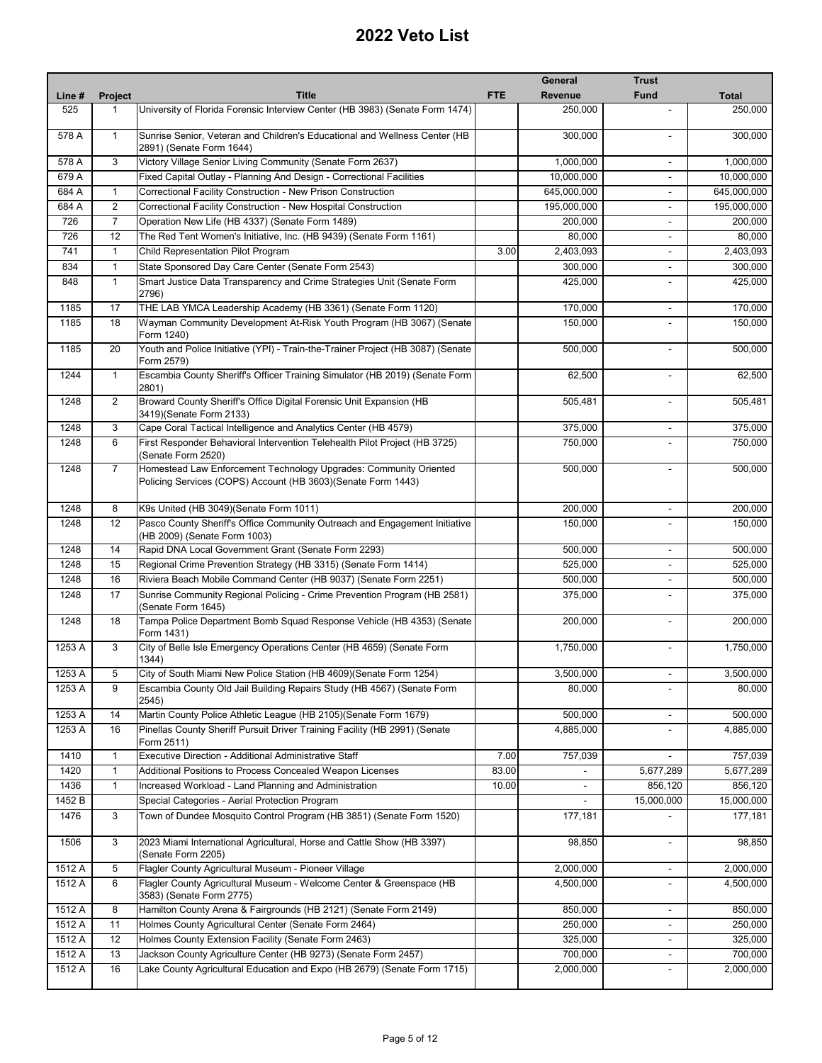|                |                |                                                                                                                                    |            | General        | <b>Trust</b>             |                       |
|----------------|----------------|------------------------------------------------------------------------------------------------------------------------------------|------------|----------------|--------------------------|-----------------------|
| Line #         | Project        | <b>Title</b>                                                                                                                       | <b>FTE</b> | <b>Revenue</b> | <b>Fund</b>              | <b>Total</b>          |
| 525            | 1              | University of Florida Forensic Interview Center (HB 3983) (Senate Form 1474)                                                       |            | 250,000        |                          | 250,000               |
| 578 A          | $\mathbf{1}$   | Sunrise Senior, Veteran and Children's Educational and Wellness Center (HB<br>2891) (Senate Form 1644)                             |            | 300,000        |                          | 300,000               |
| 578 A          | 3              | Victory Village Senior Living Community (Senate Form 2637)                                                                         |            | 1,000,000      | $\overline{\phantom{a}}$ | 1,000,000             |
| 679 A          |                | Fixed Capital Outlay - Planning And Design - Correctional Facilities                                                               |            | 10,000,000     |                          | 10,000,000            |
| 684 A          | $\mathbf{1}$   | Correctional Facility Construction - New Prison Construction                                                                       |            | 645,000,000    |                          | 645,000,000           |
| 684 A          | 2              | Correctional Facility Construction - New Hospital Construction                                                                     |            | 195,000,000    | $\overline{\phantom{a}}$ | 195,000,000           |
| 726            | $\overline{7}$ | Operation New Life (HB 4337) (Senate Form 1489)                                                                                    |            | 200,000        | $\blacksquare$           | 200,000               |
| 726            | 12             | The Red Tent Women's Initiative, Inc. (HB 9439) (Senate Form 1161)                                                                 |            | 80,000         | $\overline{\phantom{a}}$ | 80,000                |
| 741            | $\mathbf{1}$   | Child Representation Pilot Program                                                                                                 | 3.00       | 2,403,093      |                          | 2,403,093             |
| 834            | $\mathbf{1}$   | State Sponsored Day Care Center (Senate Form 2543)                                                                                 |            | 300,000        | $\blacksquare$           | 300,000               |
| 848            | $\mathbf{1}$   | Smart Justice Data Transparency and Crime Strategies Unit (Senate Form<br>2796)                                                    |            | 425,000        |                          | 425,000               |
| 1185           | 17             | THE LAB YMCA Leadership Academy (HB 3361) (Senate Form 1120)                                                                       |            | 170,000        | $\overline{\phantom{a}}$ | 170,000               |
| 1185           | 18             | Wayman Community Development At-Risk Youth Program (HB 3067) (Senate<br>Form 1240)                                                 |            | 150,000        | $\blacksquare$           | 150,000               |
| 1185           | 20             | Youth and Police Initiative (YPI) - Train-the-Trainer Project (HB 3087) (Senate<br>Form 2579)                                      |            | 500,000        | $\blacksquare$           | 500,000               |
| 1244           | $\mathbf{1}$   | Escambia County Sheriff's Officer Training Simulator (HB 2019) (Senate Form<br>2801)                                               |            | 62,500         | $\blacksquare$           | 62,500                |
| 1248           | 2              | Broward County Sheriff's Office Digital Forensic Unit Expansion (HB<br>3419)(Senate Form 2133)                                     |            | 505,481        | $\blacksquare$           | 505,481               |
| 1248           | 3              | Cape Coral Tactical Intelligence and Analytics Center (HB 4579)                                                                    |            | 375,000        | $\blacksquare$           | 375,000               |
| 1248           | 6              | First Responder Behavioral Intervention Telehealth Pilot Project (HB 3725)<br>(Senate Form 2520)                                   |            | 750,000        |                          | 750,000               |
| 1248           | $\overline{7}$ | Homestead Law Enforcement Technology Upgrades: Community Oriented<br>Policing Services (COPS) Account (HB 3603) (Senate Form 1443) |            | 500,000        | $\blacksquare$           | 500,000               |
| 1248           | 8              | K9s United (HB 3049) (Senate Form 1011)                                                                                            |            | 200,000        | $\overline{\phantom{a}}$ | 200,000               |
| 1248           | 12             | Pasco County Sheriff's Office Community Outreach and Engagement Initiative<br>(HB 2009) (Senate Form 1003)                         |            | 150,000        |                          | 150,000               |
| 1248           | 14             | Rapid DNA Local Government Grant (Senate Form 2293)                                                                                |            | 500,000        | $\overline{\phantom{a}}$ | 500,000               |
| 1248           | 15             | Regional Crime Prevention Strategy (HB 3315) (Senate Form 1414)                                                                    |            | 525,000        | $\blacksquare$           | 525,000               |
| 1248           | 16             | Riviera Beach Mobile Command Center (HB 9037) (Senate Form 2251)                                                                   |            | 500,000        | $\overline{\phantom{a}}$ | 500,000               |
| 1248           | 17             | Sunrise Community Regional Policing - Crime Prevention Program (HB 2581)<br>(Senate Form 1645)                                     |            | 375,000        | $\overline{a}$           | 375,000               |
| 1248           | 18             | Tampa Police Department Bomb Squad Response Vehicle (HB 4353) (Senate<br>Form 1431)                                                |            | 200,000        | $\blacksquare$           | 200,000               |
| 1253 A         | 3              | City of Belle Isle Emergency Operations Center (HB 4659) (Senate Form<br>1344)                                                     |            | 1,750,000      | $\blacksquare$           | 1,750,000             |
| 1253 A         | 5              | City of South Miami New Police Station (HB 4609)(Senate Form 1254)                                                                 |            | 3,500,000      |                          | 3,500,000             |
| 1253 A         | 9              | Escambia County Old Jail Building Repairs Study (HB 4567) (Senate Form<br>2545)                                                    |            | 80,000         |                          | 80,000                |
| 1253 A         | 14             | Martin County Police Athletic League (HB 2105)(Senate Form 1679)                                                                   |            | 500,000        |                          | 500,000               |
| 1253 A         | 16             | Pinellas County Sheriff Pursuit Driver Training Facility (HB 2991) (Senate<br>Form 2511)                                           |            | 4,885,000      | $\blacksquare$           | 4,885,000             |
| 1410           | $\mathbf{1}$   | Executive Direction - Additional Administrative Staff                                                                              | 7.00       | 757,039        |                          | 757,039               |
| 1420           | $\mathbf{1}$   | Additional Positions to Process Concealed Weapon Licenses                                                                          | 83.00      |                | 5,677,289                | 5,677,289             |
| 1436           | $\mathbf{1}$   | Increased Workload - Land Planning and Administration                                                                              | 10.00      | $\blacksquare$ | 856,120                  | 856,120               |
| 1452 B<br>1476 | 3              | Special Categories - Aerial Protection Program<br>Town of Dundee Mosquito Control Program (HB 3851) (Senate Form 1520)             |            | 177,181        | 15,000,000               | 15,000,000<br>177,181 |
| 1506           | 3              | 2023 Miami International Agricultural, Horse and Cattle Show (HB 3397)<br>(Senate Form 2205)                                       |            | 98,850         | $\blacksquare$           | 98,850                |
| 1512 A         | 5              | Flagler County Agricultural Museum - Pioneer Village                                                                               |            | 2,000,000      |                          | 2,000,000             |
| 1512 A         | 6              | Flagler County Agricultural Museum - Welcome Center & Greenspace (HB<br>3583) (Senate Form 2775)                                   |            | 4,500,000      |                          | 4,500,000             |
| 1512 A         | 8              | Hamilton County Arena & Fairgrounds (HB 2121) (Senate Form 2149)                                                                   |            | 850,000        | -                        | 850,000               |
| 1512 A         | 11             | Holmes County Agricultural Center (Senate Form 2464)                                                                               |            | 250,000        |                          | 250,000               |
| 1512 A         | 12             | Holmes County Extension Facility (Senate Form 2463)                                                                                |            | 325,000        | $\frac{1}{2}$            | 325,000               |
| 1512 A         | 13             | Jackson County Agriculture Center (HB 9273) (Senate Form 2457)                                                                     |            | 700,000        | $\blacksquare$           | 700,000               |
| 1512 A         | 16             | Lake County Agricultural Education and Expo (HB 2679) (Senate Form 1715)                                                           |            | 2,000,000      |                          | 2,000,000             |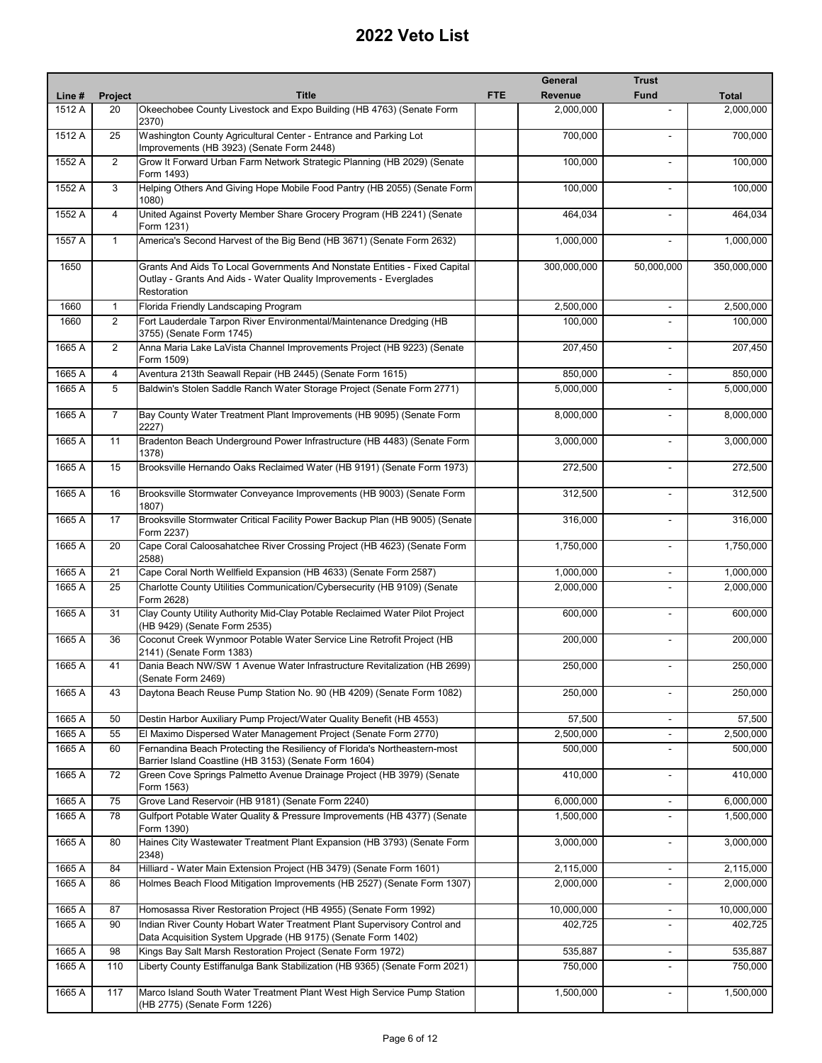|        |                |                                                                                                                                                                 |            | <b>General</b> | <b>Trust</b>             |              |
|--------|----------------|-----------------------------------------------------------------------------------------------------------------------------------------------------------------|------------|----------------|--------------------------|--------------|
| Line # | Project        | <b>Title</b>                                                                                                                                                    | <b>FTE</b> | Revenue        | <b>Fund</b>              | <b>Total</b> |
| 1512 A | 20             | Okeechobee County Livestock and Expo Building (HB 4763) (Senate Form<br>2370)                                                                                   |            | 2,000,000      |                          | 2,000,000    |
| 1512A  | 25             | Washington County Agricultural Center - Entrance and Parking Lot<br>Improvements (HB 3923) (Senate Form 2448)                                                   |            | 700,000        |                          | 700,000      |
| 1552A  | 2              | Grow It Forward Urban Farm Network Strategic Planning (HB 2029) (Senate<br>Form 1493)                                                                           |            | 100,000        |                          | 100,000      |
| 1552 A | 3              | Helping Others And Giving Hope Mobile Food Pantry (HB 2055) (Senate Form<br>1080)                                                                               |            | 100,000        | $\sim$                   | 100,000      |
| 1552 A | $\overline{4}$ | United Against Poverty Member Share Grocery Program (HB 2241) (Senate<br>Form 1231)                                                                             |            | 464,034        | $\sim$                   | 464,034      |
| 1557 A | $\mathbf{1}$   | America's Second Harvest of the Big Bend (HB 3671) (Senate Form 2632)                                                                                           |            | 1,000,000      |                          | 1,000,000    |
| 1650   |                | Grants And Aids To Local Governments And Nonstate Entities - Fixed Capital<br>Outlay - Grants And Aids - Water Quality Improvements - Everglades<br>Restoration |            | 300,000,000    | 50,000,000               | 350,000,000  |
| 1660   | $\mathbf{1}$   | Florida Friendly Landscaping Program                                                                                                                            |            | 2,500,000      | $\overline{\phantom{a}}$ | 2,500,000    |
| 1660   | $\overline{2}$ | Fort Lauderdale Tarpon River Environmental/Maintenance Dredging (HB<br>3755) (Senate Form 1745)                                                                 |            | 100,000        |                          | 100,000      |
| 1665 A | 2              | Anna Maria Lake LaVista Channel Improvements Project (HB 9223) (Senate<br>Form 1509)                                                                            |            | 207,450        | $\sim$                   | 207,450      |
| 1665 A | 4              | Aventura 213th Seawall Repair (HB 2445) (Senate Form 1615)                                                                                                      |            | 850.000        | $\blacksquare$           | 850,000      |
| 1665 A | 5              | Baldwin's Stolen Saddle Ranch Water Storage Project (Senate Form 2771)                                                                                          |            | 5,000,000      |                          | 5,000,000    |
| 1665 A | 7              | Bay County Water Treatment Plant Improvements (HB 9095) (Senate Form<br>2227)                                                                                   |            | 8,000,000      | $\overline{a}$           | 8,000,000    |
| 1665 A | 11             | Bradenton Beach Underground Power Infrastructure (HB 4483) (Senate Form<br>1378)                                                                                |            | 3,000,000      | ä,                       | 3,000,000    |
| 1665 A | 15             | Brooksville Hernando Oaks Reclaimed Water (HB 9191) (Senate Form 1973)                                                                                          |            | 272,500        |                          | 272,500      |
| 1665 A | 16             | Brooksville Stormwater Conveyance Improvements (HB 9003) (Senate Form<br>1807)                                                                                  |            | 312,500        |                          | 312,500      |
| 1665 A | 17             | Brooksville Stormwater Critical Facility Power Backup Plan (HB 9005) (Senate<br>Form 2237)                                                                      |            | 316,000        |                          | 316,000      |
| 1665 A | 20             | Cape Coral Caloosahatchee River Crossing Project (HB 4623) (Senate Form<br>2588)                                                                                |            | 1,750,000      |                          | 1,750,000    |
| 1665 A | 21             | Cape Coral North Wellfield Expansion (HB 4633) (Senate Form 2587)                                                                                               |            | 1,000,000      | $\blacksquare$           | 1,000,000    |
| 1665 A | 25             | Charlotte County Utilities Communication/Cybersecurity (HB 9109) (Senate<br>Form 2628)                                                                          |            | 2,000,000      |                          | 2,000,000    |
| 1665 A | 31             | Clay County Utility Authority Mid-Clay Potable Reclaimed Water Pilot Project<br>(HB 9429) (Senate Form 2535)                                                    |            | 600.000        | $\overline{\phantom{a}}$ | 600,000      |
| 1665 A | 36             | Coconut Creek Wynmoor Potable Water Service Line Retrofit Project (HB<br>2141) (Senate Form 1383)                                                               |            | 200,000        | $\overline{a}$           | 200,000      |
| 1665 A | 41             | Dania Beach NW/SW 1 Avenue Water Infrastructure Revitalization (HB 2699)<br>(Senate Form 2469)                                                                  |            | 250,000        |                          | 250,000      |
| 1665 A | 43             | Daytona Beach Reuse Pump Station No. 90 (HB 4209) (Senate Form 1082)                                                                                            |            | 250,000        |                          | 250,000      |
| 1665 A | 50             | Destin Harbor Auxiliary Pump Project/Water Quality Benefit (HB 4553)                                                                                            |            | 57,500         | $\overline{\phantom{a}}$ | 57,500       |
| 1665 A | 55             | El Maximo Dispersed Water Management Project (Senate Form 2770)                                                                                                 |            | 2,500,000      | $\blacksquare$           | 2,500,000    |
| 1665 A | 60             | Fernandina Beach Protecting the Resiliency of Florida's Northeastern-most<br>Barrier Island Coastline (HB 3153) (Senate Form 1604)                              |            | 500,000        |                          | 500,000      |
| 1665 A | 72             | Green Cove Springs Palmetto Avenue Drainage Project (HB 3979) (Senate<br>Form 1563)                                                                             |            | 410,000        | $\overline{\phantom{a}}$ | 410,000      |
| 1665 A | 75             | Grove Land Reservoir (HB 9181) (Senate Form 2240)                                                                                                               |            | 6,000,000      | $\overline{\phantom{a}}$ | 6,000,000    |
| 1665 A | 78             | Gulfport Potable Water Quality & Pressure Improvements (HB 4377) (Senate<br>Form 1390)                                                                          |            | 1,500,000      |                          | 1,500,000    |
| 1665 A | 80             | Haines City Wastewater Treatment Plant Expansion (HB 3793) (Senate Form<br>2348)                                                                                |            | 3,000,000      | $\blacksquare$           | 3,000,000    |
| 1665 A | 84             | Hilliard - Water Main Extension Project (HB 3479) (Senate Form 1601)                                                                                            |            | 2,115,000      | $\overline{\phantom{a}}$ | 2,115,000    |
| 1665 A | 86             | Holmes Beach Flood Mitigation Improvements (HB 2527) (Senate Form 1307)                                                                                         |            | 2,000,000      | $\blacksquare$           | 2,000,000    |
| 1665 A | 87             | Homosassa River Restoration Project (HB 4955) (Senate Form 1992)                                                                                                |            | 10,000,000     | $\overline{\phantom{a}}$ | 10,000,000   |
| 1665 A | 90             | Indian River County Hobart Water Treatment Plant Supervisory Control and<br>Data Acquisition System Upgrade (HB 9175) (Senate Form 1402)                        |            | 402,725        |                          | 402,725      |
| 1665 A | 98             | Kings Bay Salt Marsh Restoration Project (Senate Form 1972)                                                                                                     |            | 535,887        | $\overline{\phantom{a}}$ | 535,887      |
| 1665 A | 110            | Liberty County Estiffanulga Bank Stabilization (HB 9365) (Senate Form 2021)                                                                                     |            | 750,000        |                          | 750,000      |
| 1665 A | 117            | Marco Island South Water Treatment Plant West High Service Pump Station<br>(HB 2775) (Senate Form 1226)                                                         |            | 1,500,000      | $\overline{\phantom{a}}$ | 1,500,000    |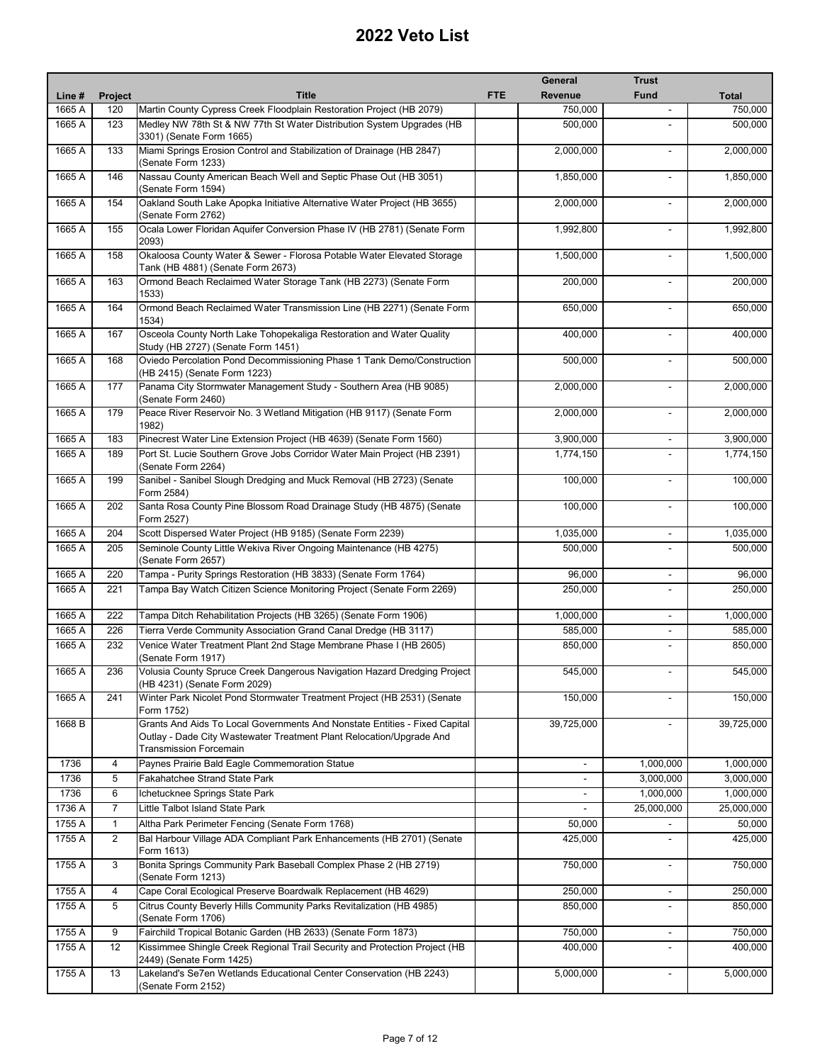|        |                |                                                                                                                                                                              |            | <b>General</b> | <b>Trust</b>             |              |
|--------|----------------|------------------------------------------------------------------------------------------------------------------------------------------------------------------------------|------------|----------------|--------------------------|--------------|
| Line # | Project        | <b>Title</b>                                                                                                                                                                 | <b>FTE</b> | Revenue        | <b>Fund</b>              | <b>Total</b> |
| 1665 A | 120            | Martin County Cypress Creek Floodplain Restoration Project (HB 2079)                                                                                                         |            | 750,000        |                          | 750,000      |
| 1665 A | 123            | Medley NW 78th St & NW 77th St Water Distribution System Upgrades (HB<br>3301) (Senate Form 1665)                                                                            |            | 500,000        |                          | 500,000      |
| 1665 A | 133            | Miami Springs Erosion Control and Stabilization of Drainage (HB 2847)<br>(Senate Form 1233)                                                                                  |            | 2,000,000      |                          | 2,000,000    |
| 1665 A | 146            | Nassau County American Beach Well and Septic Phase Out (HB 3051)<br>(Senate Form 1594)                                                                                       |            | 1,850,000      |                          | 1,850,000    |
| 1665 A | 154            | Oakland South Lake Apopka Initiative Alternative Water Project (HB 3655)<br>(Senate Form 2762)                                                                               |            | 2,000,000      |                          | 2,000,000    |
| 1665 A | 155            | Ocala Lower Floridan Aquifer Conversion Phase IV (HB 2781) (Senate Form<br>2093)                                                                                             |            | 1,992,800      | $\overline{\phantom{a}}$ | 1,992,800    |
| 1665 A | 158            | Okaloosa County Water & Sewer - Florosa Potable Water Elevated Storage<br>Tank (HB 4881) (Senate Form 2673)                                                                  |            | 1,500,000      | $\blacksquare$           | 1,500,000    |
| 1665 A | 163            | Ormond Beach Reclaimed Water Storage Tank (HB 2273) (Senate Form<br>1533)                                                                                                    |            | 200,000        |                          | 200,000      |
| 1665 A | 164            | Ormond Beach Reclaimed Water Transmission Line (HB 2271) (Senate Form<br>1534)                                                                                               |            | 650,000        | $\blacksquare$           | 650,000      |
| 1665 A | 167            | Osceola County North Lake Tohopekaliga Restoration and Water Quality<br>Study (HB 2727) (Senate Form 1451)                                                                   |            | 400,000        | $\blacksquare$           | 400,000      |
| 1665 A | 168            | Oviedo Percolation Pond Decommissioning Phase 1 Tank Demo/Construction<br>(HB 2415) (Senate Form 1223)                                                                       |            | 500,000        | $\blacksquare$           | 500,000      |
| 1665 A | 177            | Panama City Stormwater Management Study - Southern Area (HB 9085)<br>(Senate Form 2460)                                                                                      |            | 2,000,000      |                          | 2,000,000    |
| 1665 A | 179            | Peace River Reservoir No. 3 Wetland Mitigation (HB 9117) (Senate Form<br>1982)                                                                                               |            | 2,000,000      | $\blacksquare$           | 2,000,000    |
| 1665 A | 183            | Pinecrest Water Line Extension Project (HB 4639) (Senate Form 1560)                                                                                                          |            | 3,900,000      | $\overline{\phantom{a}}$ | 3,900,000    |
| 1665 A | 189            | Port St. Lucie Southern Grove Jobs Corridor Water Main Project (HB 2391)<br>(Senate Form 2264)                                                                               |            | 1,774,150      |                          | 1,774,150    |
| 1665 A | 199            | Sanibel - Sanibel Slough Dredging and Muck Removal (HB 2723) (Senate<br>Form 2584)                                                                                           |            | 100,000        | $\overline{a}$           | 100,000      |
| 1665 A | 202            | Santa Rosa County Pine Blossom Road Drainage Study (HB 4875) (Senate<br>Form 2527)                                                                                           |            | 100,000        |                          | 100,000      |
| 1665 A | 204            | Scott Dispersed Water Project (HB 9185) (Senate Form 2239)                                                                                                                   |            | 1,035,000      | $\overline{\phantom{a}}$ | 1,035,000    |
| 1665 A | 205            | Seminole County Little Wekiva River Ongoing Maintenance (HB 4275)<br>(Senate Form 2657)                                                                                      |            | 500,000        | $\overline{\phantom{a}}$ | 500,000      |
| 1665 A | 220            | Tampa - Purity Springs Restoration (HB 3833) (Senate Form 1764)                                                                                                              |            | 96,000         | $\blacksquare$           | 96,000       |
| 1665 A | 221            | Tampa Bay Watch Citizen Science Monitoring Project (Senate Form 2269)                                                                                                        |            | 250,000        |                          | 250,000      |
| 1665 A | 222            | Tampa Ditch Rehabilitation Projects (HB 3265) (Senate Form 1906)                                                                                                             |            | 1,000,000      | $\overline{\phantom{a}}$ | 1,000,000    |
| 1665 A | 226            | Tierra Verde Community Association Grand Canal Dredge (HB 3117)                                                                                                              |            | 585,000        | $\blacksquare$           | 585,000      |
| 1665 A | 232            | Venice Water Treatment Plant 2nd Stage Membrane Phase I (HB 2605)<br>(Senate Form 1917)                                                                                      |            | 850,000        |                          | 850,000      |
| 1665 A | 236            | Volusia County Spruce Creek Dangerous Navigation Hazard Dredging Project<br>(HB 4231) (Senate Form 2029)                                                                     |            | 545,000        |                          | 545,000      |
| 1665 A | 241            | Winter Park Nicolet Pond Stormwater Treatment Project (HB 2531) (Senate<br>Form 1752)                                                                                        |            | 150,000        |                          | 150,000      |
| 1668 B |                | Grants And Aids To Local Governments And Nonstate Entities - Fixed Capital<br>Outlay - Dade City Wastewater Treatment Plant Relocation/Upgrade And<br>Transmission Forcemain |            | 39,725,000     |                          | 39,725,000   |
| 1736   | $\overline{4}$ | Paynes Prairie Bald Eagle Commemoration Statue                                                                                                                               |            | $\blacksquare$ | 1,000,000                | 1,000,000    |
| 1736   | 5              | <b>Fakahatchee Strand State Park</b>                                                                                                                                         |            | $\blacksquare$ | 3,000,000                | 3,000,000    |
| 1736   | 6              | Ichetucknee Springs State Park                                                                                                                                               |            | $\blacksquare$ | 1,000,000                | 1,000,000    |
| 1736 A | $\overline{7}$ | Little Talbot Island State Park                                                                                                                                              |            |                | 25,000,000               | 25,000,000   |
| 1755 A | $\mathbf{1}$   | Altha Park Perimeter Fencing (Senate Form 1768)                                                                                                                              |            | 50,000         |                          | 50,000       |
| 1755 A | $\overline{2}$ | Bal Harbour Village ADA Compliant Park Enhancements (HB 2701) (Senate<br>Form 1613)                                                                                          |            | 425,000        |                          | 425,000      |
| 1755 A | 3              | Bonita Springs Community Park Baseball Complex Phase 2 (HB 2719)<br>(Senate Form 1213)                                                                                       |            | 750,000        | $\overline{\phantom{a}}$ | 750,000      |
| 1755 A | 4              | Cape Coral Ecological Preserve Boardwalk Replacement (HB 4629)                                                                                                               |            | 250,000        | $\overline{\phantom{a}}$ | 250,000      |
| 1755 A | 5              | Citrus County Beverly Hills Community Parks Revitalization (HB 4985)<br>(Senate Form 1706)                                                                                   |            | 850,000        | $\blacksquare$           | 850,000      |
| 1755 A | 9              | Fairchild Tropical Botanic Garden (HB 2633) (Senate Form 1873)                                                                                                               |            | 750,000        | $\blacksquare$           | 750,000      |
| 1755 A | 12             | Kissimmee Shingle Creek Regional Trail Security and Protection Project (HB<br>2449) (Senate Form 1425)                                                                       |            | 400,000        | $\blacksquare$           | 400,000      |
| 1755 A | 13             | Lakeland's Se7en Wetlands Educational Center Conservation (HB 2243)<br>(Senate Form 2152)                                                                                    |            | 5,000,000      |                          | 5,000,000    |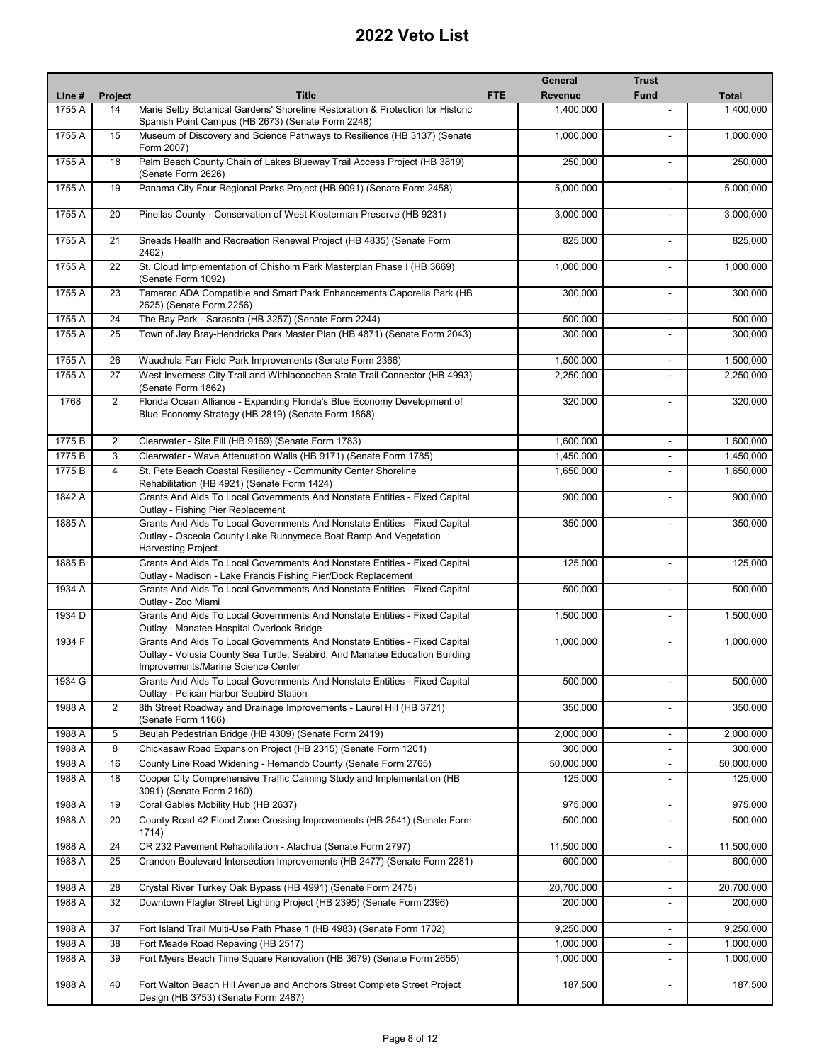|        |                |                                                                                                                                                                                                 | General               | <b>Trust</b>             |              |
|--------|----------------|-------------------------------------------------------------------------------------------------------------------------------------------------------------------------------------------------|-----------------------|--------------------------|--------------|
| Line # | Project        | <b>Title</b>                                                                                                                                                                                    | <b>FTE</b><br>Revenue | <b>Fund</b>              | <b>Total</b> |
| 1755 A | 14             | Marie Selby Botanical Gardens' Shoreline Restoration & Protection for Historic                                                                                                                  | 1,400,000             |                          | 1,400,000    |
| 1755A  | 15             | Spanish Point Campus (HB 2673) (Senate Form 2248)<br>Museum of Discovery and Science Pathways to Resilience (HB 3137) (Senate                                                                   | 1,000,000             |                          | 1,000,000    |
| 1755A  | 18             | Form 2007)<br>Palm Beach County Chain of Lakes Blueway Trail Access Project (HB 3819)                                                                                                           | 250,000               |                          | 250,000      |
| 1755 A |                | (Senate Form 2626)<br>Panama City Four Regional Parks Project (HB 9091) (Senate Form 2458)                                                                                                      |                       | $\mathbf{r}$             | 5,000,000    |
|        | 19             |                                                                                                                                                                                                 | 5,000,000             |                          |              |
| 1755 A | 20             | Pinellas County - Conservation of West Klosterman Preserve (HB 9231)                                                                                                                            | 3,000,000             | $\mathbf{r}$             | 3,000,000    |
| 1755 A | 21             | Sneads Health and Recreation Renewal Project (HB 4835) (Senate Form<br>2462)                                                                                                                    | 825,000               |                          | 825,000      |
| 1755 A | 22             | St. Cloud Implementation of Chisholm Park Masterplan Phase I (HB 3669)<br>(Senate Form 1092)                                                                                                    | 1,000,000             | $\blacksquare$           | 1,000,000    |
| 1755 A | 23             | Tamarac ADA Compatible and Smart Park Enhancements Caporella Park (HB<br>2625) (Senate Form 2256)                                                                                               | 300,000               | $\overline{\phantom{a}}$ | 300,000      |
| 1755 A | 24             | The Bay Park - Sarasota (HB 3257) (Senate Form 2244)                                                                                                                                            | 500,000               | $\blacksquare$           | 500,000      |
| 1755A  | 25             | Town of Jay Bray-Hendricks Park Master Plan (HB 4871) (Senate Form 2043)                                                                                                                        | 300,000               |                          | 300,000      |
| 1755 A | 26             | Wauchula Farr Field Park Improvements (Senate Form 2366)                                                                                                                                        | 1,500,000             | $\overline{\phantom{a}}$ | 1,500,000    |
| 1755 A | 27             | West Inverness City Trail and Withlacoochee State Trail Connector (HB 4993)<br>(Senate Form 1862)                                                                                               | 2,250,000             | $\blacksquare$           | 2,250,000    |
| 1768   | $\overline{2}$ | Florida Ocean Alliance - Expanding Florida's Blue Economy Development of<br>Blue Economy Strategy (HB 2819) (Senate Form 1868)                                                                  | 320,000               | ÷                        | 320,000      |
| 1775 B | 2              | Clearwater - Site Fill (HB 9169) (Senate Form 1783)                                                                                                                                             | 1,600,000             | $\blacksquare$           | 1,600,000    |
| 1775 B | 3              | Clearwater - Wave Attenuation Walls (HB 9171) (Senate Form 1785)                                                                                                                                | 1,450,000             | $\blacksquare$           | 1,450,000    |
| 1775 B | 4              | St. Pete Beach Coastal Resiliency - Community Center Shoreline<br>Rehabilitation (HB 4921) (Senate Form 1424)                                                                                   | 1,650,000             |                          | 1,650,000    |
| 1842 A |                | Grants And Aids To Local Governments And Nonstate Entities - Fixed Capital<br>Outlay - Fishing Pier Replacement                                                                                 | 900,000               | ä,                       | 900,000      |
| 1885 A |                | Grants And Aids To Local Governments And Nonstate Entities - Fixed Capital<br>Outlay - Osceola County Lake Runnymede Boat Ramp And Vegetation<br><b>Harvesting Project</b>                      | 350,000               |                          | 350,000      |
| 1885 B |                | Grants And Aids To Local Governments And Nonstate Entities - Fixed Capital<br>Outlay - Madison - Lake Francis Fishing Pier/Dock Replacement                                                     | 125,000               |                          | 125,000      |
| 1934 A |                | Grants And Aids To Local Governments And Nonstate Entities - Fixed Capital<br>Outlay - Zoo Miami                                                                                                | 500,000               | $\overline{\phantom{a}}$ | 500,000      |
| 1934 D |                | Grants And Aids To Local Governments And Nonstate Entities - Fixed Capital<br>Outlay - Manatee Hospital Overlook Bridge                                                                         | 1,500,000             | $\blacksquare$           | 1,500,000    |
| 1934 F |                | Grants And Aids To Local Governments And Nonstate Entities - Fixed Capital<br>Outlay - Volusia County Sea Turtle, Seabird, And Manatee Education Building<br>Improvements/Marine Science Center | 1,000,000             | $\overline{\phantom{a}}$ | 1,000,000    |
| 1934 G |                | Grants And Aids To Local Governments And Nonstate Entities - Fixed Capital<br>Outlay - Pelican Harbor Seabird Station                                                                           | 500,000               |                          | 500,000      |
| 1988 A | $\overline{2}$ | 8th Street Roadway and Drainage Improvements - Laurel Hill (HB 3721)<br>(Senate Form 1166)                                                                                                      | 350,000               |                          | 350,000      |
| 1988 A | 5              | Beulah Pedestrian Bridge (HB 4309) (Senate Form 2419)                                                                                                                                           | 2,000,000             | $\blacksquare$           | 2,000,000    |
| 1988 A | 8              | Chickasaw Road Expansion Project (HB 2315) (Senate Form 1201)                                                                                                                                   | 300,000               |                          | 300,000      |
| 1988 A | 16             | County Line Road Widening - Hernando County (Senate Form 2765)                                                                                                                                  | 50,000,000            | $\overline{\phantom{a}}$ | 50,000,000   |
| 1988 A | 18             | Cooper City Comprehensive Traffic Calming Study and Implementation (HB<br>3091) (Senate Form 2160)                                                                                              | 125,000               | $\blacksquare$           | 125,000      |
| 1988 A | 19             | Coral Gables Mobility Hub (HB 2637)                                                                                                                                                             | 975,000               | $\overline{\phantom{a}}$ | 975,000      |
| 1988 A | 20             | County Road 42 Flood Zone Crossing Improvements (HB 2541) (Senate Form                                                                                                                          | 500,000               |                          | 500,000      |
|        |                | 1714)                                                                                                                                                                                           |                       |                          |              |
| 1988 A | 24             | CR 232 Pavement Rehabilitation - Alachua (Senate Form 2797)                                                                                                                                     | 11,500,000            | $\blacksquare$           | 11,500,000   |
| 1988 A | 25             | Crandon Boulevard Intersection Improvements (HB 2477) (Senate Form 2281)                                                                                                                        | 600,000               |                          | 600,000      |
| 1988 A | 28             | Crystal River Turkey Oak Bypass (HB 4991) (Senate Form 2475)                                                                                                                                    | 20,700,000            | $\overline{\phantom{a}}$ | 20,700,000   |
| 1988 A | 32             | Downtown Flagler Street Lighting Project (HB 2395) (Senate Form 2396)                                                                                                                           | 200,000               | $\overline{\phantom{a}}$ | 200,000      |
| 1988 A | 37             | Fort Island Trail Multi-Use Path Phase 1 (HB 4983) (Senate Form 1702)                                                                                                                           | 9,250,000             | $\overline{\phantom{a}}$ | 9,250,000    |
| 1988 A | 38             | Fort Meade Road Repaving (HB 2517)                                                                                                                                                              | 1,000,000             | $\overline{\phantom{a}}$ | 1,000,000    |
| 1988 A | 39             | Fort Myers Beach Time Square Renovation (HB 3679) (Senate Form 2655)                                                                                                                            | 1,000,000             |                          | 1,000,000    |
| 1988 A | 40             | Fort Walton Beach Hill Avenue and Anchors Street Complete Street Project<br>Design (HB 3753) (Senate Form 2487)                                                                                 | 187,500               | $\blacksquare$           | 187,500      |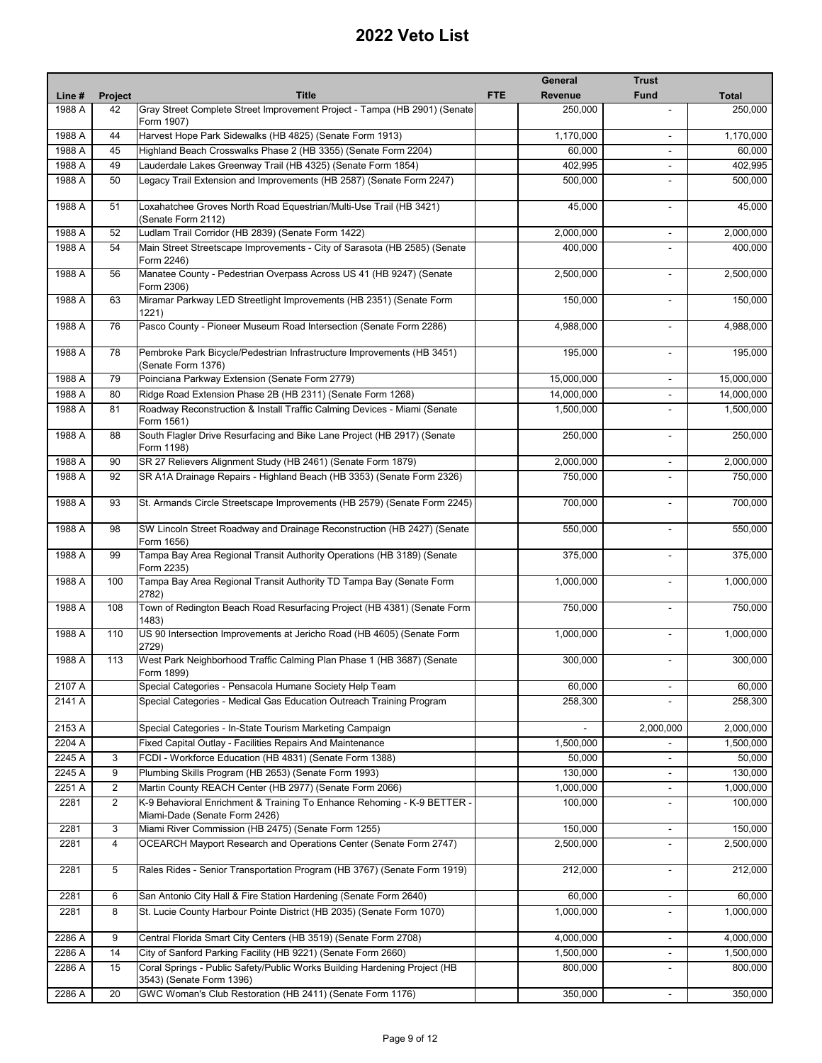|        |         |                                                                                                          |            | General        | <b>Trust</b>                 |              |
|--------|---------|----------------------------------------------------------------------------------------------------------|------------|----------------|------------------------------|--------------|
| Line # | Project | <b>Title</b>                                                                                             | <b>FTE</b> | <b>Revenue</b> | <b>Fund</b>                  | <b>Total</b> |
| 1988 A | 42      | Gray Street Complete Street Improvement Project - Tampa (HB 2901) (Senate<br>Form 1907)                  |            | 250,000        |                              | 250,000      |
| 1988 A | 44      | Harvest Hope Park Sidewalks (HB 4825) (Senate Form 1913)                                                 |            | 1,170,000      |                              | 1,170,000    |
| 1988 A | 45      | Highland Beach Crosswalks Phase 2 (HB 3355) (Senate Form 2204)                                           |            | 60,000         | $\blacksquare$               | 60,000       |
| 1988 A | 49      | Lauderdale Lakes Greenway Trail (HB 4325) (Senate Form 1854)                                             |            | 402.995        | $\overline{\phantom{a}}$     | 402,995      |
| 1988 A | 50      | Legacy Trail Extension and Improvements (HB 2587) (Senate Form 2247)                                     |            | 500,000        |                              | 500,000      |
| 1988 A | 51      | Loxahatchee Groves North Road Equestrian/Multi-Use Trail (HB 3421)<br>(Senate Form 2112)                 |            | 45,000         | $\blacksquare$               | 45,000       |
| 1988 A | 52      | Ludlam Trail Corridor (HB 2839) (Senate Form 1422)                                                       |            | 2,000,000      |                              | 2,000,000    |
| 1988 A | 54      | Main Street Streetscape Improvements - City of Sarasota (HB 2585) (Senate<br>Form 2246)                  |            | 400,000        |                              | 400,000      |
| 1988 A | 56      | Manatee County - Pedestrian Overpass Across US 41 (HB 9247) (Senate<br>Form 2306)                        |            | 2,500,000      | ٠                            | 2,500,000    |
| 1988 A | 63      | Miramar Parkway LED Streetlight Improvements (HB 2351) (Senate Form<br>1221)                             |            | 150,000        |                              | 150,000      |
| 1988 A | 76      | Pasco County - Pioneer Museum Road Intersection (Senate Form 2286)                                       |            | 4,988,000      | $\blacksquare$               | 4,988,000    |
| 1988 A | 78      | Pembroke Park Bicycle/Pedestrian Infrastructure Improvements (HB 3451)<br>(Senate Form 1376)             |            | 195,000        | $\blacksquare$               | 195,000      |
| 1988 A | 79      | Poinciana Parkway Extension (Senate Form 2779)                                                           |            | 15,000,000     | $\blacksquare$               | 15,000,000   |
| 1988 A | 80      | Ridge Road Extension Phase 2B (HB 2311) (Senate Form 1268)                                               |            | 14,000,000     |                              | 14,000,000   |
| 1988 A | 81      | Roadway Reconstruction & Install Traffic Calming Devices - Miami (Senate<br>Form 1561)                   |            | 1,500,000      |                              | 1,500,000    |
| 1988 A | 88      | South Flagler Drive Resurfacing and Bike Lane Project (HB 2917) (Senate<br>Form 1198)                    |            | 250,000        | $\blacksquare$               | 250,000      |
| 1988 A | 90      | SR 27 Relievers Alignment Study (HB 2461) (Senate Form 1879)                                             |            | 2,000,000      | $\overline{\phantom{a}}$     | 2,000,000    |
| 1988 A | 92      | SR A1A Drainage Repairs - Highland Beach (HB 3353) (Senate Form 2326)                                    |            | 750,000        |                              | 750,000      |
| 1988 A | 93      | St. Armands Circle Streetscape Improvements (HB 2579) (Senate Form 2245)                                 |            | 700,000        | $\overline{a}$               | 700,000      |
| 1988 A | 98      | SW Lincoln Street Roadway and Drainage Reconstruction (HB 2427) (Senate<br>Form 1656)                    |            | 550,000        | $\overline{a}$               | 550,000      |
| 1988 A | 99      | Tampa Bay Area Regional Transit Authority Operations (HB 3189) (Senate<br>Form 2235)                     |            | 375,000        |                              | 375,000      |
| 1988 A | 100     | Tampa Bay Area Regional Transit Authority TD Tampa Bay (Senate Form<br>2782)                             |            | 1,000,000      |                              | 1,000,000    |
| 1988 A | 108     | Town of Redington Beach Road Resurfacing Project (HB 4381) (Senate Form<br>1483)                         |            | 750,000        |                              | 750,000      |
| 1988 A | 110     | US 90 Intersection Improvements at Jericho Road (HB 4605) (Senate Form<br>2729)                          |            | 1,000,000      |                              | 1,000,000    |
| 1988 A | 113     | West Park Neighborhood Traffic Calming Plan Phase 1 (HB 3687) (Senate<br>Form 1899)                      |            | 300,000        |                              | 300,000      |
| 2107 A |         | Special Categories - Pensacola Humane Society Help Team                                                  |            | 60,000         |                              | 60,000       |
| 2141 A |         | Special Categories - Medical Gas Education Outreach Training Program                                     |            | 258,300        |                              | 258,300      |
| 2153 A |         | Special Categories - In-State Tourism Marketing Campaign                                                 |            |                | 2,000,000                    | 2,000,000    |
| 2204 A |         | Fixed Capital Outlay - Facilities Repairs And Maintenance                                                |            | 1,500,000      |                              | 1,500,000    |
| 2245 A | 3       | FCDI - Workforce Education (HB 4831) (Senate Form 1388)                                                  |            | 50,000         | $\blacksquare$               | 50,000       |
| 2245 A | 9       | Plumbing Skills Program (HB 2653) (Senate Form 1993)                                                     |            | 130,000        |                              | 130,000      |
| 2251 A | 2       | Martin County REACH Center (HB 2977) (Senate Form 2066)                                                  |            | 1,000,000      | $\overline{\phantom{a}}$     | 1,000,000    |
| 2281   | 2       | K-9 Behavioral Enrichment & Training To Enhance Rehoming - K-9 BETTER -<br>Miami-Dade (Senate Form 2426) |            | 100,000        |                              | 100,000      |
| 2281   | 3       | Miami River Commission (HB 2475) (Senate Form 1255)                                                      |            | 150,000        | $\overline{\phantom{a}}$     | 150,000      |
| 2281   | 4       | OCEARCH Mayport Research and Operations Center (Senate Form 2747)                                        |            | 2,500,000      |                              | 2,500,000    |
| 2281   | 5       | Rales Rides - Senior Transportation Program (HB 3767) (Senate Form 1919)                                 |            | 212,000        | $\blacksquare$               | 212,000      |
| 2281   | 6       | San Antonio City Hall & Fire Station Hardening (Senate Form 2640)                                        |            | 60,000         | $\overline{\phantom{a}}$     | 60,000       |
| 2281   | 8       | St. Lucie County Harbour Pointe District (HB 2035) (Senate Form 1070)                                    |            | 1,000,000      | $\overline{\phantom{a}}$     | 1,000,000    |
| 2286 A | 9       | Central Florida Smart City Centers (HB 3519) (Senate Form 2708)                                          |            | 4,000,000      | $\blacksquare$               | 4,000,000    |
| 2286 A | 14      | City of Sanford Parking Facility (HB 9221) (Senate Form 2660)                                            |            | 1,500,000      | $\overline{\phantom{a}}$     | 1,500,000    |
| 2286 A | 15      | Coral Springs - Public Safety/Public Works Building Hardening Project (HB<br>3543) (Senate Form 1396)    |            | 800,000        | $\qquad \qquad \blacksquare$ | 800,000      |
| 2286 A | 20      | GWC Woman's Club Restoration (HB 2411) (Senate Form 1176)                                                |            | 350,000        | $\blacksquare$               | 350,000      |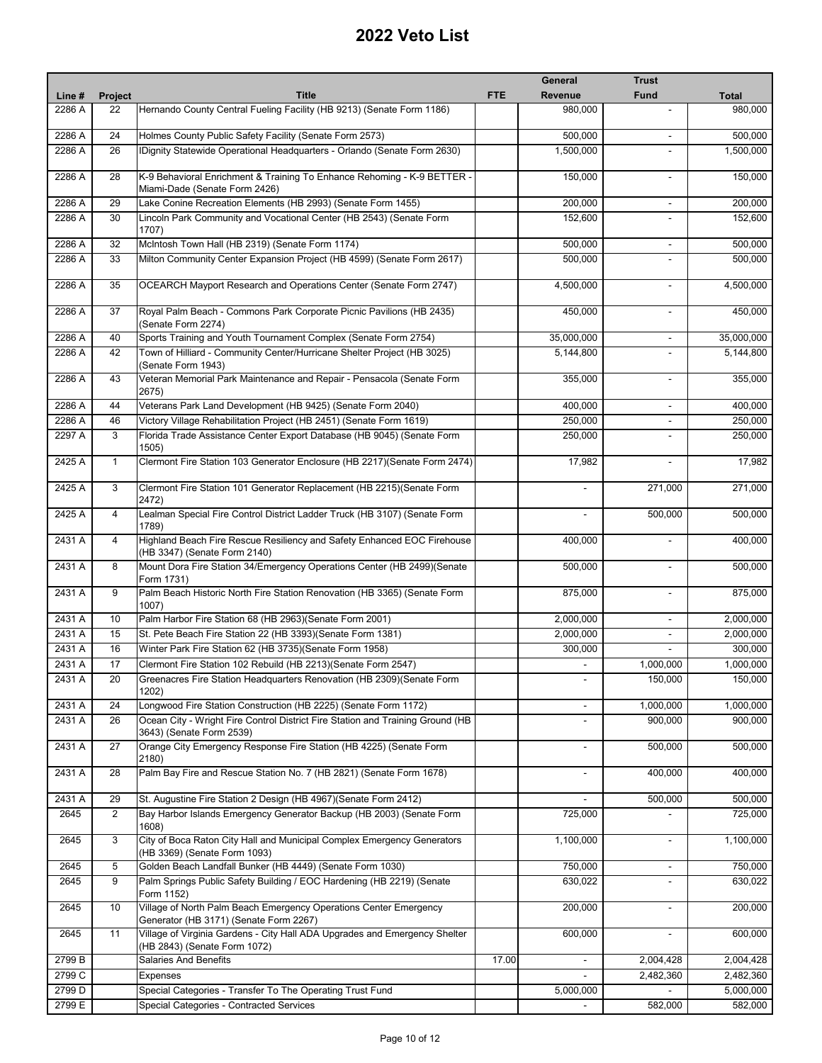|        |                |                                                                                                             |            | General        | <b>Trust</b>             |              |
|--------|----------------|-------------------------------------------------------------------------------------------------------------|------------|----------------|--------------------------|--------------|
| Line # | Project        | <b>Title</b>                                                                                                | <b>FTE</b> | <b>Revenue</b> | <b>Fund</b>              | <b>Total</b> |
| 2286 A | 22             | Hernando County Central Fueling Facility (HB 9213) (Senate Form 1186)                                       |            | 980,000        |                          | 980,000      |
| 2286 A | 24             | Holmes County Public Safety Facility (Senate Form 2573)                                                     |            | 500,000        |                          | 500,000      |
| 2286 A | 26             | IDignity Statewide Operational Headquarters - Orlando (Senate Form 2630)                                    |            | 1,500,000      | $\overline{a}$           | 1,500,000    |
| 2286 A | 28             | K-9 Behavioral Enrichment & Training To Enhance Rehoming - K-9 BETTER -<br>Miami-Dade (Senate Form 2426)    |            | 150,000        | $\blacksquare$           | 150,000      |
| 2286 A | 29             | Lake Conine Recreation Elements (HB 2993) (Senate Form 1455)                                                |            | 200,000        | $\blacksquare$           | 200,000      |
| 2286 A | 30             | Lincoln Park Community and Vocational Center (HB 2543) (Senate Form                                         |            | 152,600        |                          | 152,600      |
|        |                | 1707)                                                                                                       |            |                |                          |              |
| 2286 A | 32             | McIntosh Town Hall (HB 2319) (Senate Form 1174)                                                             |            | 500,000        | $\overline{\phantom{a}}$ | 500,000      |
| 2286 A | 33             | Milton Community Center Expansion Project (HB 4599) (Senate Form 2617)                                      |            | 500,000        | $\overline{a}$           | 500,000      |
| 2286 A | 35             | OCEARCH Mayport Research and Operations Center (Senate Form 2747)                                           |            | 4,500,000      | $\blacksquare$           | 4,500,000    |
| 2286 A | 37             | Royal Palm Beach - Commons Park Corporate Picnic Pavilions (HB 2435)<br>(Senate Form 2274)                  |            | 450,000        | $\blacksquare$           | 450,000      |
| 2286 A | 40             | Sports Training and Youth Tournament Complex (Senate Form 2754)                                             |            | 35,000,000     | $\blacksquare$           | 35,000,000   |
| 2286 A | 42             | Town of Hilliard - Community Center/Hurricane Shelter Project (HB 3025)<br>(Senate Form 1943)               |            | 5,144,800      |                          | 5,144,800    |
| 2286 A | 43             | Veteran Memorial Park Maintenance and Repair - Pensacola (Senate Form<br>2675)                              |            | 355,000        | $\blacksquare$           | 355,000      |
| 2286 A | 44             | Veterans Park Land Development (HB 9425) (Senate Form 2040)                                                 |            | 400,000        | $\overline{\phantom{a}}$ | 400,000      |
| 2286 A | 46             | Victory Village Rehabilitation Project (HB 2451) (Senate Form 1619)                                         |            | 250,000        |                          | 250,000      |
| 2297 A | 3              | Florida Trade Assistance Center Export Database (HB 9045) (Senate Form                                      |            | 250,000        |                          | 250,000      |
| 2425 A | $\mathbf{1}$   | 1505)<br>Clermont Fire Station 103 Generator Enclosure (HB 2217) (Senate Form 2474)                         |            | 17,982         | $\blacksquare$           | 17,982       |
| 2425 A | 3              | Clermont Fire Station 101 Generator Replacement (HB 2215)(Senate Form<br>2472)                              |            |                | 271,000                  | 271,000      |
| 2425 A | $\overline{4}$ | Lealman Special Fire Control District Ladder Truck (HB 3107) (Senate Form<br>1789)                          |            |                | 500,000                  | 500,000      |
| 2431 A | $\overline{4}$ | Highland Beach Fire Rescue Resiliency and Safety Enhanced EOC Firehouse<br>(HB 3347) (Senate Form 2140)     |            | 400,000        |                          | 400,000      |
| 2431 A | 8              | Mount Dora Fire Station 34/Emergency Operations Center (HB 2499)(Senate<br>Form 1731)                       |            | 500,000        | $\blacksquare$           | 500,000      |
| 2431 A | 9              | Palm Beach Historic North Fire Station Renovation (HB 3365) (Senate Form<br>1007)                           |            | 875,000        | $\blacksquare$           | 875,000      |
| 2431 A | 10             | Palm Harbor Fire Station 68 (HB 2963)(Senate Form 2001)                                                     |            | 2,000,000      |                          | 2,000,000    |
| 2431 A | 15             | St. Pete Beach Fire Station 22 (HB 3393) (Senate Form 1381)                                                 |            | 2,000,000      | $\overline{\phantom{a}}$ | 2,000,000    |
| 2431 A | 16             | Winter Park Fire Station 62 (HB 3735) (Senate Form 1958)                                                    |            | 300,000        | $\blacksquare$           | 300,000      |
| 2431 A | 17             | Clermont Fire Station 102 Rebuild (HB 2213)(Senate Form 2547)                                               |            |                | 1,000,000                | 1,000,000    |
| 2431 A | 20             | Greenacres Fire Station Headquarters Renovation (HB 2309)(Senate Form<br>1202)                              |            |                | 150,000                  | 150,000      |
| 2431 A | 24             | Longwood Fire Station Construction (HB 2225) (Senate Form 1172)                                             |            | $\blacksquare$ | 1,000,000                | 1,000,000    |
| 2431 A | 26             | Ocean City - Wright Fire Control District Fire Station and Training Ground (HB                              |            |                | 900,000                  | 900,000      |
| 2431 A | 27             | 3643) (Senate Form 2539)<br>Orange City Emergency Response Fire Station (HB 4225) (Senate Form              |            | $\overline{a}$ | 500,000                  | 500,000      |
| 2431 A | 28             | 2180)<br>Palm Bay Fire and Rescue Station No. 7 (HB 2821) (Senate Form 1678)                                |            |                | 400,000                  | 400,000      |
| 2431 A | 29             | St. Augustine Fire Station 2 Design (HB 4967)(Senate Form 2412)                                             |            |                | 500,000                  | 500,000      |
| 2645   | 2              | Bay Harbor Islands Emergency Generator Backup (HB 2003) (Senate Form<br>1608)                               |            | 725,000        |                          | 725,000      |
| 2645   | 3              | City of Boca Raton City Hall and Municipal Complex Emergency Generators<br>(HB 3369) (Senate Form 1093)     |            | 1,100,000      | $\blacksquare$           | 1,100,000    |
| 2645   | 5              | Golden Beach Landfall Bunker (HB 4449) (Senate Form 1030)                                                   |            | 750,000        | $\blacksquare$           | 750,000      |
| 2645   | 9              | Palm Springs Public Safety Building / EOC Hardening (HB 2219) (Senate<br>Form 1152)                         |            | 630,022        |                          | 630,022      |
| 2645   | 10             | Village of North Palm Beach Emergency Operations Center Emergency<br>Generator (HB 3171) (Senate Form 2267) |            | 200,000        | $\blacksquare$           | 200,000      |
| 2645   | 11             | Village of Virginia Gardens - City Hall ADA Upgrades and Emergency Shelter<br>(HB 2843) (Senate Form 1072)  |            | 600,000        |                          | 600,000      |
| 2799 B |                | <b>Salaries And Benefits</b>                                                                                | 17.00      |                | 2,004,428                | 2,004,428    |
| 2799 C |                | Expenses                                                                                                    |            |                | 2,482,360                | 2,482,360    |
| 2799 D |                | Special Categories - Transfer To The Operating Trust Fund                                                   |            | 5,000,000      |                          | 5,000,000    |
| 2799 E |                | Special Categories - Contracted Services                                                                    |            |                | 582,000                  | 582,000      |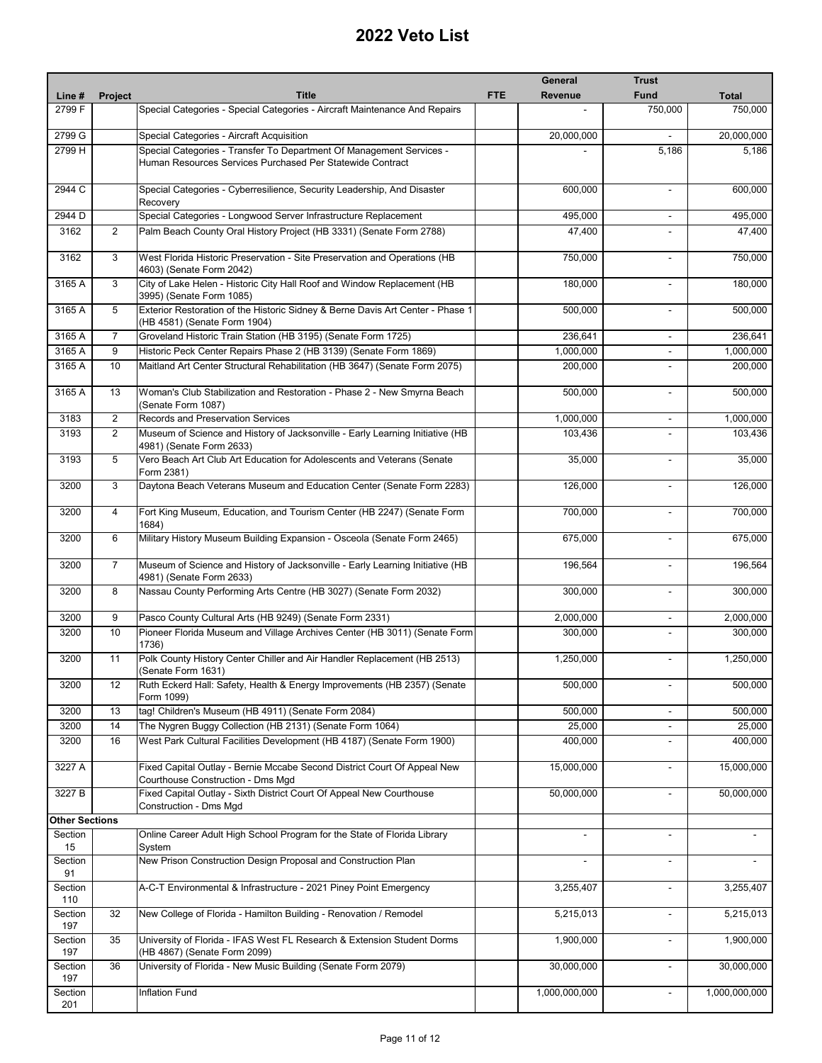|                       |                |                                                                                                                                   |            | General       | <b>Trust</b>             |               |
|-----------------------|----------------|-----------------------------------------------------------------------------------------------------------------------------------|------------|---------------|--------------------------|---------------|
| Line #                | Project        | <b>Title</b>                                                                                                                      | <b>FTE</b> | Revenue       | <b>Fund</b>              | <b>Total</b>  |
| 2799 F                |                | Special Categories - Special Categories - Aircraft Maintenance And Repairs                                                        |            |               | 750,000                  | 750,000       |
| 2799 G                |                | Special Categories - Aircraft Acquisition                                                                                         |            | 20,000,000    |                          | 20,000,000    |
| 2799 H                |                | Special Categories - Transfer To Department Of Management Services -<br>Human Resources Services Purchased Per Statewide Contract |            |               | 5,186                    | 5,186         |
| 2944 C                |                | Special Categories - Cyberresilience, Security Leadership, And Disaster<br>Recovery                                               |            | 600,000       | $\blacksquare$           | 600,000       |
| 2944 D                |                | Special Categories - Longwood Server Infrastructure Replacement                                                                   |            | 495,000       |                          | 495,000       |
| 3162                  | $\overline{2}$ | Palm Beach County Oral History Project (HB 3331) (Senate Form 2788)                                                               |            | 47,400        | $\overline{\phantom{a}}$ | 47,400        |
| 3162                  | 3              | West Florida Historic Preservation - Site Preservation and Operations (HB<br>4603) (Senate Form 2042)                             |            | 750,000       |                          | 750,000       |
| 3165 A                | 3              | City of Lake Helen - Historic City Hall Roof and Window Replacement (HB<br>3995) (Senate Form 1085)                               |            | 180,000       |                          | 180,000       |
| 3165 A                | 5              | Exterior Restoration of the Historic Sidney & Berne Davis Art Center - Phase 1<br>(HB 4581) (Senate Form 1904)                    |            | 500,000       | $\overline{\phantom{a}}$ | 500,000       |
| 3165 A                | $\overline{7}$ | Groveland Historic Train Station (HB 3195) (Senate Form 1725)                                                                     |            | 236,641       | $\overline{\phantom{a}}$ | 236,641       |
| 3165 A                | 9              | Historic Peck Center Repairs Phase 2 (HB 3139) (Senate Form 1869)                                                                 |            | 1,000,000     | $\blacksquare$           | 1,000,000     |
| 3165 A                | 10             | Maitland Art Center Structural Rehabilitation (HB 3647) (Senate Form 2075)                                                        |            | 200,000       | $\overline{\phantom{a}}$ | 200,000       |
| 3165 A                | 13             | Woman's Club Stabilization and Restoration - Phase 2 - New Smyrna Beach<br>(Senate Form 1087)                                     |            | 500,000       |                          | 500,000       |
| 3183                  | $\overline{2}$ | Records and Preservation Services                                                                                                 |            | 1,000,000     | $\overline{\phantom{a}}$ | 1,000,000     |
| 3193                  | $\overline{2}$ | Museum of Science and History of Jacksonville - Early Learning Initiative (HB<br>4981) (Senate Form 2633)                         |            | 103,436       |                          | 103,436       |
| 3193                  | 5              | Vero Beach Art Club Art Education for Adolescents and Veterans (Senate<br>Form 2381)                                              |            | 35,000        | $\sim$                   | 35,000        |
| 3200                  | 3              | Daytona Beach Veterans Museum and Education Center (Senate Form 2283)                                                             |            | 126,000       | $\blacksquare$           | 126,000       |
| 3200                  | $\overline{4}$ | Fort King Museum, Education, and Tourism Center (HB 2247) (Senate Form<br>1684)                                                   |            | 700,000       | $\blacksquare$           | 700,000       |
| 3200                  | 6              | Military History Museum Building Expansion - Osceola (Senate Form 2465)                                                           |            | 675,000       |                          | 675,000       |
| 3200                  | $\overline{7}$ | Museum of Science and History of Jacksonville - Early Learning Initiative (HB<br>4981) (Senate Form 2633)                         |            | 196,564       | $\overline{\phantom{a}}$ | 196,564       |
| 3200                  | 8              | Nassau County Performing Arts Centre (HB 3027) (Senate Form 2032)                                                                 |            | 300,000       | $\blacksquare$           | 300,000       |
| 3200                  | 9              | Pasco County Cultural Arts (HB 9249) (Senate Form 2331)                                                                           |            | 2,000,000     | $\mathbf{r}$             | 2,000,000     |
| 3200                  | 10             | Pioneer Florida Museum and Village Archives Center (HB 3011) (Senate Form<br>1736)                                                |            | 300,000       | $\blacksquare$           | 300,000       |
| 3200                  | 11             | Polk County History Center Chiller and Air Handler Replacement (HB 2513)<br>(Senate Form 1631)                                    |            | 1,250,000     |                          | 1,250,000     |
| 3200                  | 12             | Ruth Eckerd Hall: Safety, Health & Energy Improvements (HB 2357) (Senate<br>Form 1099)                                            |            | 500,000       |                          | 500,000       |
| 3200                  | 13             | tag! Children's Museum (HB 4911) (Senate Form 2084)                                                                               |            | 500,000       | $\overline{\phantom{a}}$ | 500,000       |
| 3200                  | 14             | The Nygren Buggy Collection (HB 2131) (Senate Form 1064)                                                                          |            | 25,000        | $\overline{\phantom{a}}$ | 25,000        |
| 3200                  | 16             | West Park Cultural Facilities Development (HB 4187) (Senate Form 1900)                                                            |            | 400,000       | ٠                        | 400,000       |
| 3227 A                |                | Fixed Capital Outlay - Bernie Mccabe Second District Court Of Appeal New<br>Courthouse Construction - Dms Mgd                     |            | 15,000,000    | $\blacksquare$           | 15,000,000    |
| 3227 B                |                | Fixed Capital Outlay - Sixth District Court Of Appeal New Courthouse<br>Construction - Dms Mgd                                    |            | 50,000,000    | $\overline{\phantom{a}}$ | 50,000,000    |
| <b>Other Sections</b> |                |                                                                                                                                   |            |               |                          |               |
| Section<br>15         |                | Online Career Adult High School Program for the State of Florida Library<br>System                                                |            |               | $\blacksquare$           |               |
| Section<br>91         |                | New Prison Construction Design Proposal and Construction Plan                                                                     |            |               |                          |               |
| Section<br>110        |                | A-C-T Environmental & Infrastructure - 2021 Piney Point Emergency                                                                 |            | 3,255,407     | $\overline{\phantom{a}}$ | 3,255,407     |
| Section<br>197        | 32             | New College of Florida - Hamilton Building - Renovation / Remodel                                                                 |            | 5,215,013     | $\overline{\phantom{a}}$ | 5,215,013     |
| Section<br>197        | 35             | University of Florida - IFAS West FL Research & Extension Student Dorms<br>(HB 4867) (Senate Form 2099)                           |            | 1,900,000     |                          | 1,900,000     |
| Section<br>197        | 36             | University of Florida - New Music Building (Senate Form 2079)                                                                     |            | 30,000,000    |                          | 30,000,000    |
| Section<br>201        |                | <b>Inflation Fund</b>                                                                                                             |            | 1,000,000,000 | $\overline{\phantom{a}}$ | 1,000,000,000 |